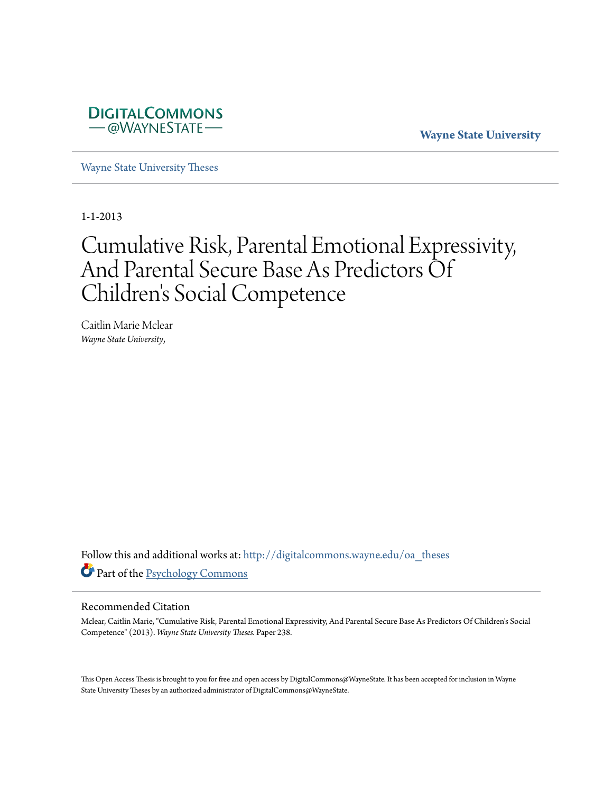

**Wayne State University**

[Wayne State University Theses](http://digitalcommons.wayne.edu/oa_theses?utm_source=digitalcommons.wayne.edu%2Foa_theses%2F238&utm_medium=PDF&utm_campaign=PDFCoverPages)

1-1-2013

# Cumulative Risk, Parental Emotional Expressivity, And Parental Secure Base As Predictors Of Children 's Social Competence

Caitlin Marie Mclear *Wayne State University*,

Follow this and additional works at: [http://digitalcommons.wayne.edu/oa\\_theses](http://digitalcommons.wayne.edu/oa_theses?utm_source=digitalcommons.wayne.edu%2Foa_theses%2F238&utm_medium=PDF&utm_campaign=PDFCoverPages) Part of the [Psychology Commons](http://network.bepress.com/hgg/discipline/404?utm_source=digitalcommons.wayne.edu%2Foa_theses%2F238&utm_medium=PDF&utm_campaign=PDFCoverPages)

#### Recommended Citation

Mclear, Caitlin Marie, "Cumulative Risk, Parental Emotional Expressivity, And Parental Secure Base As Predictors Of Children's Social Competence" (2013). *Wayne State University Theses.* Paper 238.

This Open Access Thesis is brought to you for free and open access by DigitalCommons@WayneState. It has been accepted for inclusion in Wayne State University Theses by an authorized administrator of DigitalCommons@WayneState.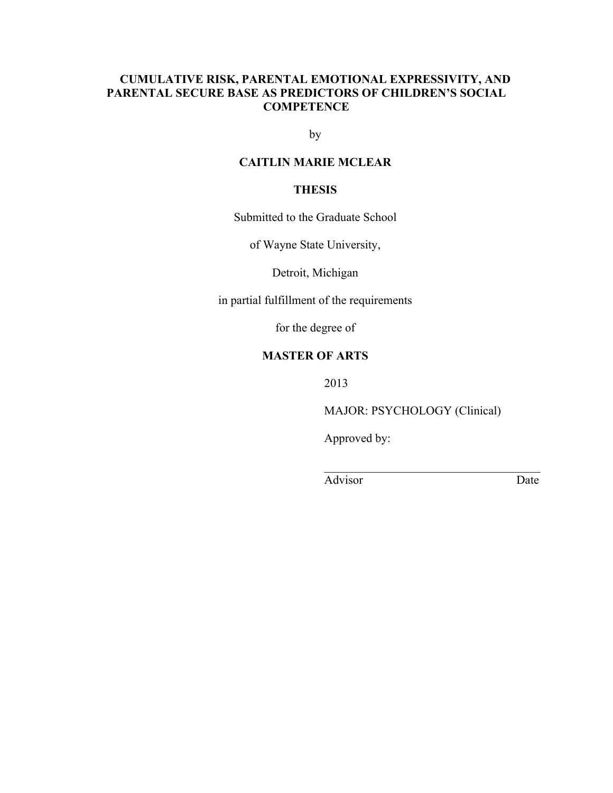### **CUMULATIVE RISK, PARENTAL EMOTIONAL EXPRESSIVITY, AND PARENTAL SECURE BASE AS PREDICTORS OF CHILDREN'S SOCIAL COMPETENCE**

by

### **CAITLIN MARIE MCLEAR**

### **THESIS**

Submitted to the Graduate School

of Wayne State University,

Detroit, Michigan

in partial fulfillment of the requirements

for the degree of

#### **MASTER OF ARTS**

2013

MAJOR: PSYCHOLOGY (Clinical)

 $\mathcal{L}_\text{max}$  , where  $\mathcal{L}_\text{max}$  and  $\mathcal{L}_\text{max}$  and  $\mathcal{L}_\text{max}$ 

Approved by:

Advisor Date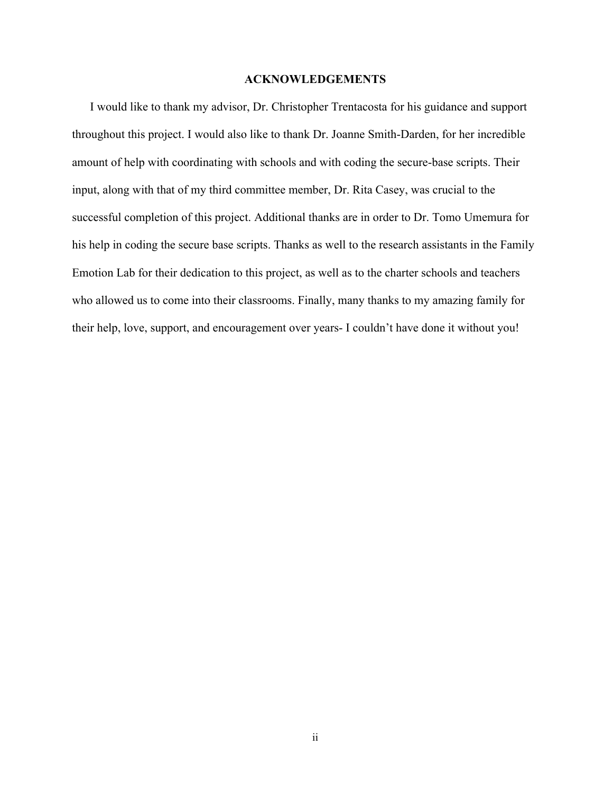#### **ACKNOWLEDGEMENTS**

I would like to thank my advisor, Dr. Christopher Trentacosta for his guidance and support throughout this project. I would also like to thank Dr. Joanne Smith-Darden, for her incredible amount of help with coordinating with schools and with coding the secure-base scripts. Their input, along with that of my third committee member, Dr. Rita Casey, was crucial to the successful completion of this project. Additional thanks are in order to Dr. Tomo Umemura for his help in coding the secure base scripts. Thanks as well to the research assistants in the Family Emotion Lab for their dedication to this project, as well as to the charter schools and teachers who allowed us to come into their classrooms. Finally, many thanks to my amazing family for their help, love, support, and encouragement over years- I couldn't have done it without you!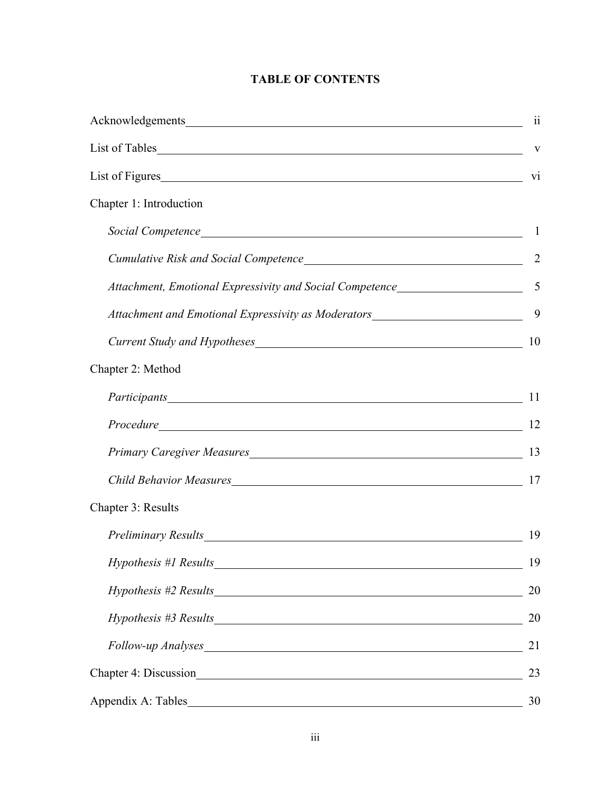|                                                                                                                                                                                                                                                                                        | $\overline{\mathbf{u}}$ |
|----------------------------------------------------------------------------------------------------------------------------------------------------------------------------------------------------------------------------------------------------------------------------------------|-------------------------|
| List of Tables                                                                                                                                                                                                                                                                         | $\mathbf{V}$            |
| List of Figures                                                                                                                                                                                                                                                                        | V1                      |
| Chapter 1: Introduction                                                                                                                                                                                                                                                                |                         |
|                                                                                                                                                                                                                                                                                        |                         |
|                                                                                                                                                                                                                                                                                        | 2                       |
| Attachment, Emotional Expressivity and Social Competence________________________                                                                                                                                                                                                       | $\overline{5}$          |
| Attachment and Emotional Expressivity as Moderators_____________________________                                                                                                                                                                                                       | 9                       |
|                                                                                                                                                                                                                                                                                        | 10                      |
| Chapter 2: Method                                                                                                                                                                                                                                                                      |                         |
|                                                                                                                                                                                                                                                                                        | 11                      |
|                                                                                                                                                                                                                                                                                        | 12                      |
|                                                                                                                                                                                                                                                                                        |                         |
| Child Behavior Measures Manuel Allen Child Behavior Measures Manuel Allen Child Behavior Measures                                                                                                                                                                                      | 17                      |
| Chapter 3: Results                                                                                                                                                                                                                                                                     |                         |
| Preliminary Results experience of the contract of the contract of the contract of the contract of the contract of the contract of the contract of the contract of the contract of the contract of the contract of the contract                                                         | 19                      |
|                                                                                                                                                                                                                                                                                        | 19                      |
| $Hypothesis$ #2 Results $\frac{1}{1}$ Results $\frac{1}{1}$ Results $\frac{1}{1}$ Results $\frac{1}{1}$ Results $\frac{1}{1}$ Results $\frac{1}{1}$ Results $\frac{1}{1}$ Results $\frac{1}{1}$ Results $\frac{1}{1}$ Results $\frac{1}{1}$ Results $\frac{1}{1}$ Results $\frac{1}{1$ | 20                      |
|                                                                                                                                                                                                                                                                                        | 20                      |
| Follow-up Analyses                                                                                                                                                                                                                                                                     | 21                      |
|                                                                                                                                                                                                                                                                                        | 23                      |
|                                                                                                                                                                                                                                                                                        | 30                      |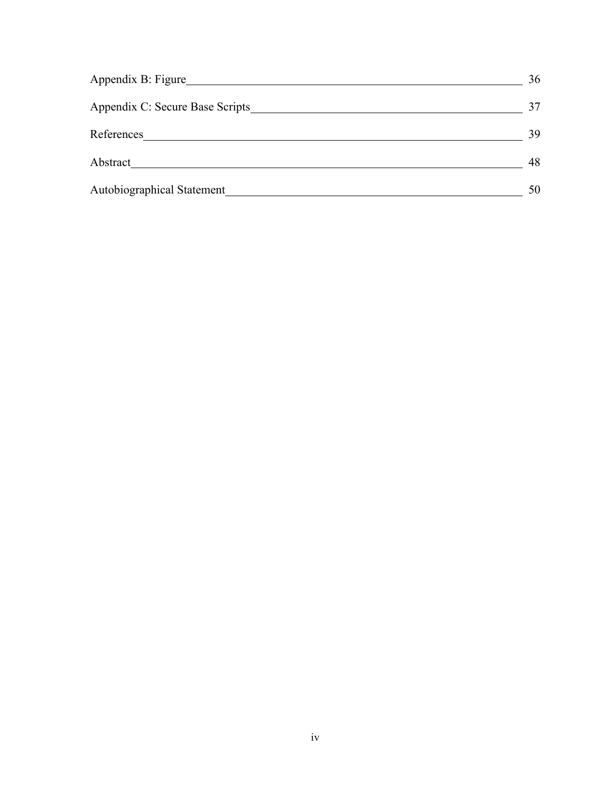| Appendix B: Figure              | 36 |
|---------------------------------|----|
| Appendix C: Secure Base Scripts | 37 |
| References                      | 39 |
| Abstract                        | 48 |
| Autobiographical Statement      | 50 |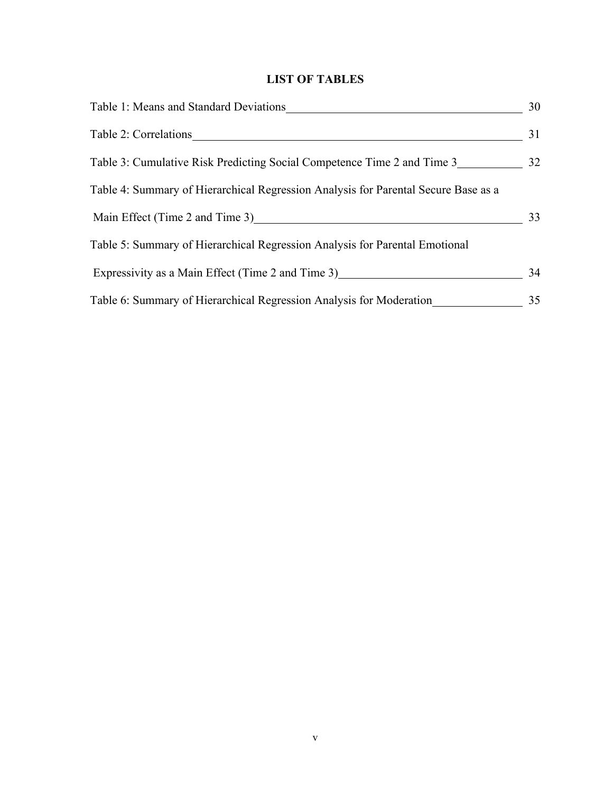# **LIST OF TABLES**

| Table 1: Means and Standard Deviations                                             | 30 |
|------------------------------------------------------------------------------------|----|
| Table 2: Correlations                                                              | 31 |
| Table 3: Cumulative Risk Predicting Social Competence Time 2 and Time 3            | 32 |
| Table 4: Summary of Hierarchical Regression Analysis for Parental Secure Base as a |    |
| Main Effect (Time 2 and Time 3)                                                    | 33 |
| Table 5: Summary of Hierarchical Regression Analysis for Parental Emotional        |    |
| Expressivity as a Main Effect (Time 2 and Time 3)                                  | 34 |
| Table 6: Summary of Hierarchical Regression Analysis for Moderation                | 35 |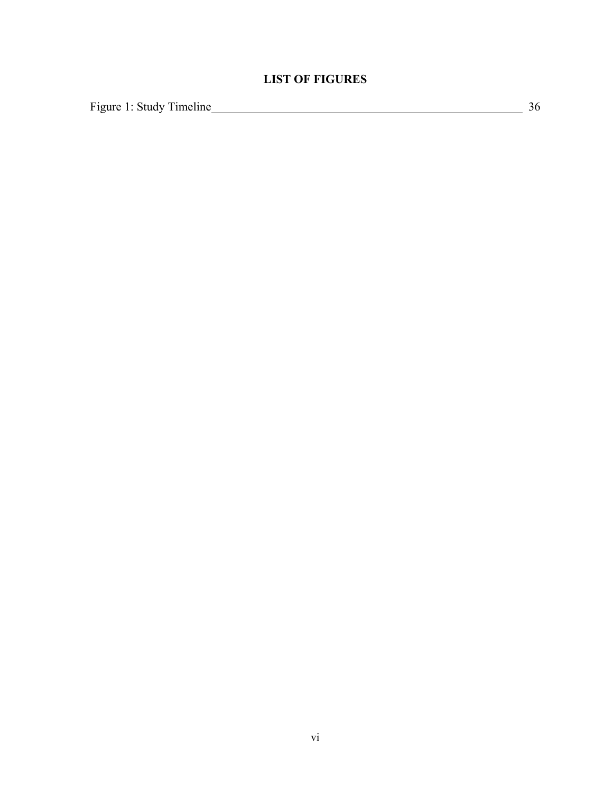# **LIST OF FIGURES**

Figure 1: Study Timeline 36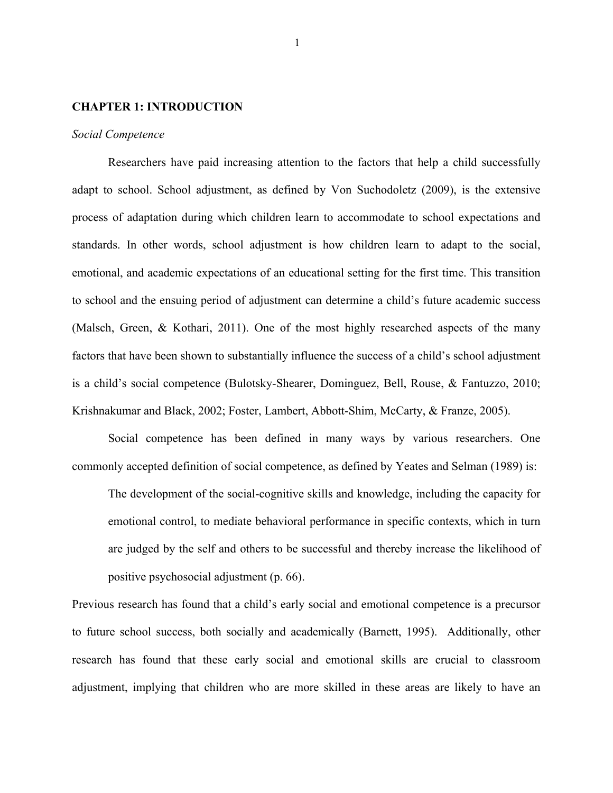#### **CHAPTER 1: INTRODUCTION**

#### *Social Competence*

Researchers have paid increasing attention to the factors that help a child successfully adapt to school. School adjustment, as defined by Von Suchodoletz (2009), is the extensive process of adaptation during which children learn to accommodate to school expectations and standards. In other words, school adjustment is how children learn to adapt to the social, emotional, and academic expectations of an educational setting for the first time. This transition to school and the ensuing period of adjustment can determine a child's future academic success (Malsch, Green, & Kothari, 2011). One of the most highly researched aspects of the many factors that have been shown to substantially influence the success of a child's school adjustment is a child's social competence (Bulotsky-Shearer, Dominguez, Bell, Rouse, & Fantuzzo, 2010; Krishnakumar and Black, 2002; Foster, Lambert, Abbott-Shim, McCarty, & Franze, 2005).

Social competence has been defined in many ways by various researchers. One commonly accepted definition of social competence, as defined by Yeates and Selman (1989) is:

The development of the social-cognitive skills and knowledge, including the capacity for emotional control, to mediate behavioral performance in specific contexts, which in turn are judged by the self and others to be successful and thereby increase the likelihood of positive psychosocial adjustment (p. 66).

Previous research has found that a child's early social and emotional competence is a precursor to future school success, both socially and academically (Barnett, 1995). Additionally, other research has found that these early social and emotional skills are crucial to classroom adjustment, implying that children who are more skilled in these areas are likely to have an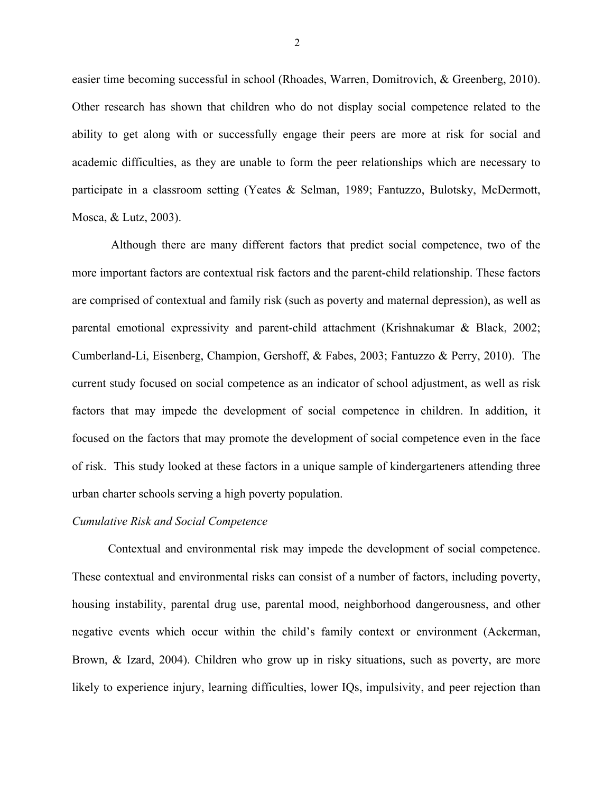easier time becoming successful in school (Rhoades, Warren, Domitrovich, & Greenberg, 2010). Other research has shown that children who do not display social competence related to the ability to get along with or successfully engage their peers are more at risk for social and academic difficulties, as they are unable to form the peer relationships which are necessary to participate in a classroom setting (Yeates & Selman, 1989; Fantuzzo, Bulotsky, McDermott, Mosca, & Lutz, 2003).

Although there are many different factors that predict social competence, two of the more important factors are contextual risk factors and the parent-child relationship. These factors are comprised of contextual and family risk (such as poverty and maternal depression), as well as parental emotional expressivity and parent-child attachment (Krishnakumar & Black, 2002; Cumberland-Li, Eisenberg, Champion, Gershoff, & Fabes, 2003; Fantuzzo & Perry, 2010). The current study focused on social competence as an indicator of school adjustment, as well as risk factors that may impede the development of social competence in children. In addition, it focused on the factors that may promote the development of social competence even in the face of risk. This study looked at these factors in a unique sample of kindergarteners attending three urban charter schools serving a high poverty population.

#### *Cumulative Risk and Social Competence*

Contextual and environmental risk may impede the development of social competence. These contextual and environmental risks can consist of a number of factors, including poverty, housing instability, parental drug use, parental mood, neighborhood dangerousness, and other negative events which occur within the child's family context or environment (Ackerman, Brown, & Izard, 2004). Children who grow up in risky situations, such as poverty, are more likely to experience injury, learning difficulties, lower IQs, impulsivity, and peer rejection than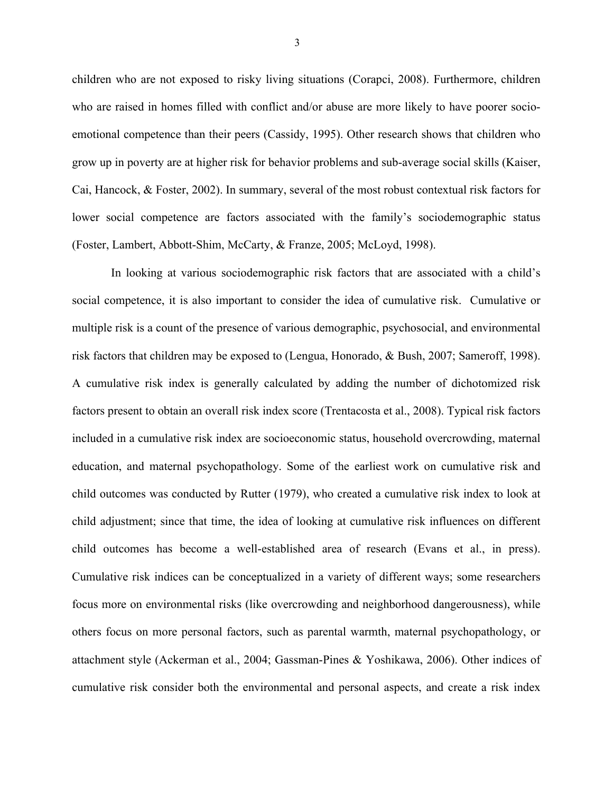children who are not exposed to risky living situations (Corapci, 2008). Furthermore, children who are raised in homes filled with conflict and/or abuse are more likely to have poorer socioemotional competence than their peers (Cassidy, 1995). Other research shows that children who grow up in poverty are at higher risk for behavior problems and sub-average social skills (Kaiser, Cai, Hancock, & Foster, 2002). In summary, several of the most robust contextual risk factors for lower social competence are factors associated with the family's sociodemographic status (Foster, Lambert, Abbott-Shim, McCarty, & Franze, 2005; McLoyd, 1998).

In looking at various sociodemographic risk factors that are associated with a child's social competence, it is also important to consider the idea of cumulative risk. Cumulative or multiple risk is a count of the presence of various demographic, psychosocial, and environmental risk factors that children may be exposed to (Lengua, Honorado, & Bush, 2007; Sameroff, 1998). A cumulative risk index is generally calculated by adding the number of dichotomized risk factors present to obtain an overall risk index score (Trentacosta et al., 2008). Typical risk factors included in a cumulative risk index are socioeconomic status, household overcrowding, maternal education, and maternal psychopathology. Some of the earliest work on cumulative risk and child outcomes was conducted by Rutter (1979), who created a cumulative risk index to look at child adjustment; since that time, the idea of looking at cumulative risk influences on different child outcomes has become a well-established area of research (Evans et al., in press). Cumulative risk indices can be conceptualized in a variety of different ways; some researchers focus more on environmental risks (like overcrowding and neighborhood dangerousness), while others focus on more personal factors, such as parental warmth, maternal psychopathology, or attachment style (Ackerman et al., 2004; Gassman-Pines & Yoshikawa, 2006). Other indices of cumulative risk consider both the environmental and personal aspects, and create a risk index

3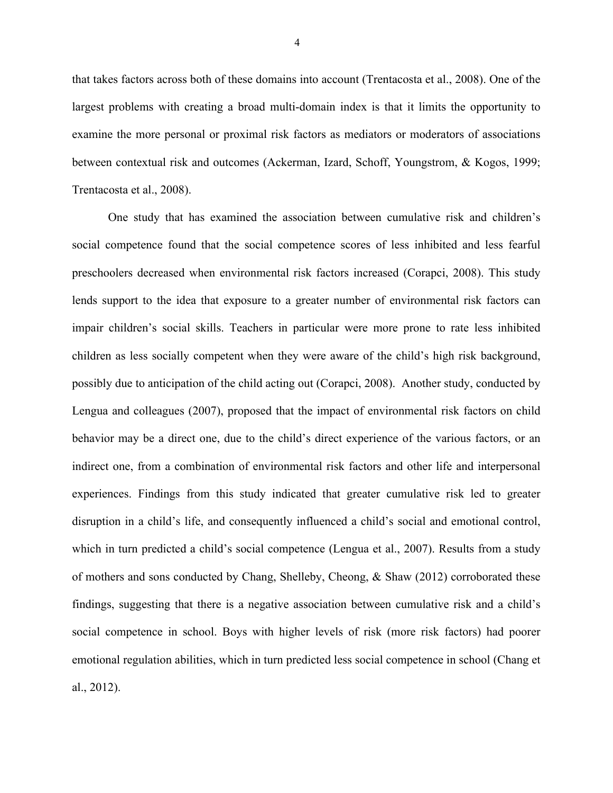that takes factors across both of these domains into account (Trentacosta et al., 2008). One of the largest problems with creating a broad multi-domain index is that it limits the opportunity to examine the more personal or proximal risk factors as mediators or moderators of associations between contextual risk and outcomes (Ackerman, Izard, Schoff, Youngstrom, & Kogos, 1999; Trentacosta et al., 2008).

One study that has examined the association between cumulative risk and children's social competence found that the social competence scores of less inhibited and less fearful preschoolers decreased when environmental risk factors increased (Corapci, 2008). This study lends support to the idea that exposure to a greater number of environmental risk factors can impair children's social skills. Teachers in particular were more prone to rate less inhibited children as less socially competent when they were aware of the child's high risk background, possibly due to anticipation of the child acting out (Corapci, 2008). Another study, conducted by Lengua and colleagues (2007), proposed that the impact of environmental risk factors on child behavior may be a direct one, due to the child's direct experience of the various factors, or an indirect one, from a combination of environmental risk factors and other life and interpersonal experiences. Findings from this study indicated that greater cumulative risk led to greater disruption in a child's life, and consequently influenced a child's social and emotional control, which in turn predicted a child's social competence (Lengua et al., 2007). Results from a study of mothers and sons conducted by Chang, Shelleby, Cheong, & Shaw (2012) corroborated these findings, suggesting that there is a negative association between cumulative risk and a child's social competence in school. Boys with higher levels of risk (more risk factors) had poorer emotional regulation abilities, which in turn predicted less social competence in school (Chang et al., 2012).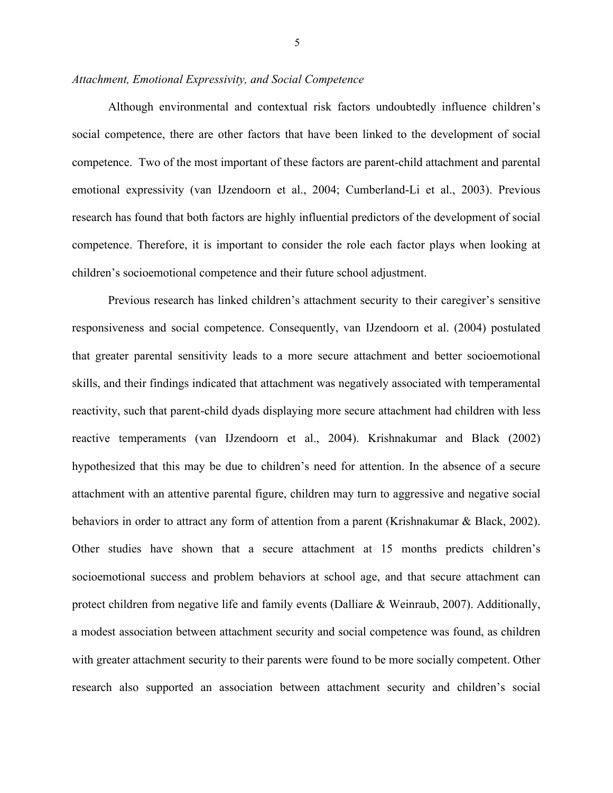#### *Attachment, Emotional Expressivity, and Social Competence*

Although environmental and contextual risk factors undoubtedly influence children's social competence, there are other factors that have been linked to the development of social competence. Two of the most important of these factors are parent-child attachment and parental emotional expressivity (van IJzendoorn et al., 2004; Cumberland-Li et al., 2003). Previous research has found that both factors are highly influential predictors of the development of social competence. Therefore, it is important to consider the role each factor plays when looking at children's socioemotional competence and their future school adjustment.

Previous research has linked children's attachment security to their caregiver's sensitive responsiveness and social competence. Consequently, van IJzendoorn et al. (2004) postulated that greater parental sensitivity leads to a more secure attachment and better socioemotional skills, and their findings indicated that attachment was negatively associated with temperamental reactivity, such that parent-child dyads displaying more secure attachment had children with less reactive temperaments (van IJzendoorn et al., 2004). Krishnakumar and Black (2002) hypothesized that this may be due to children's need for attention. In the absence of a secure attachment with an attentive parental figure, children may turn to aggressive and negative social behaviors in order to attract any form of attention from a parent (Krishnakumar & Black, 2002). Other studies have shown that a secure attachment at 15 months predicts children's socioemotional success and problem behaviors at school age, and that secure attachment can protect children from negative life and family events (Dalliare & Weinraub, 2007). Additionally, a modest association between attachment security and social competence was found, as children with greater attachment security to their parents were found to be more socially competent. Other research also supported an association between attachment security and children's social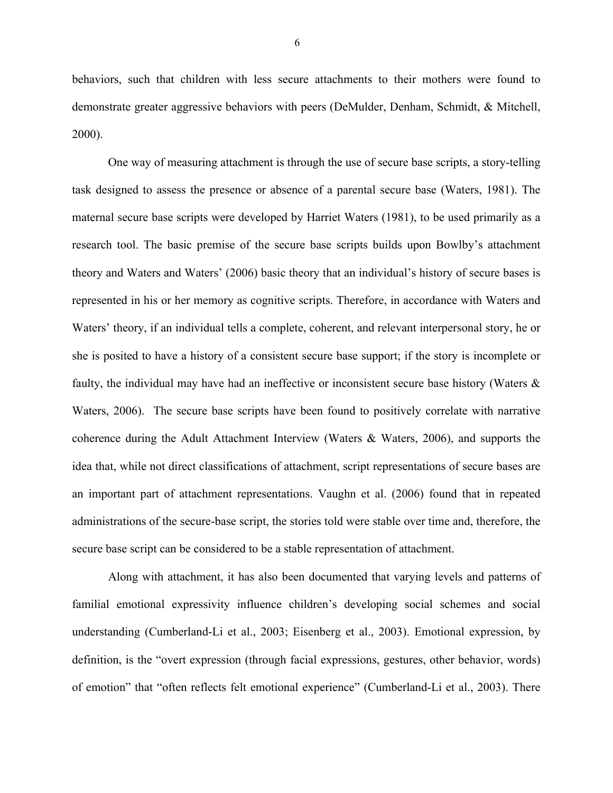behaviors, such that children with less secure attachments to their mothers were found to demonstrate greater aggressive behaviors with peers (DeMulder, Denham, Schmidt, & Mitchell, 2000).

One way of measuring attachment is through the use of secure base scripts, a story-telling task designed to assess the presence or absence of a parental secure base (Waters, 1981). The maternal secure base scripts were developed by Harriet Waters (1981), to be used primarily as a research tool. The basic premise of the secure base scripts builds upon Bowlby's attachment theory and Waters and Waters' (2006) basic theory that an individual's history of secure bases is represented in his or her memory as cognitive scripts. Therefore, in accordance with Waters and Waters' theory, if an individual tells a complete, coherent, and relevant interpersonal story, he or she is posited to have a history of a consistent secure base support; if the story is incomplete or faulty, the individual may have had an ineffective or inconsistent secure base history (Waters & Waters, 2006). The secure base scripts have been found to positively correlate with narrative coherence during the Adult Attachment Interview (Waters & Waters, 2006), and supports the idea that, while not direct classifications of attachment, script representations of secure bases are an important part of attachment representations. Vaughn et al. (2006) found that in repeated administrations of the secure-base script, the stories told were stable over time and, therefore, the secure base script can be considered to be a stable representation of attachment.

Along with attachment, it has also been documented that varying levels and patterns of familial emotional expressivity influence children's developing social schemes and social understanding (Cumberland-Li et al., 2003; Eisenberg et al., 2003). Emotional expression, by definition, is the "overt expression (through facial expressions, gestures, other behavior, words) of emotion" that "often reflects felt emotional experience" (Cumberland-Li et al., 2003). There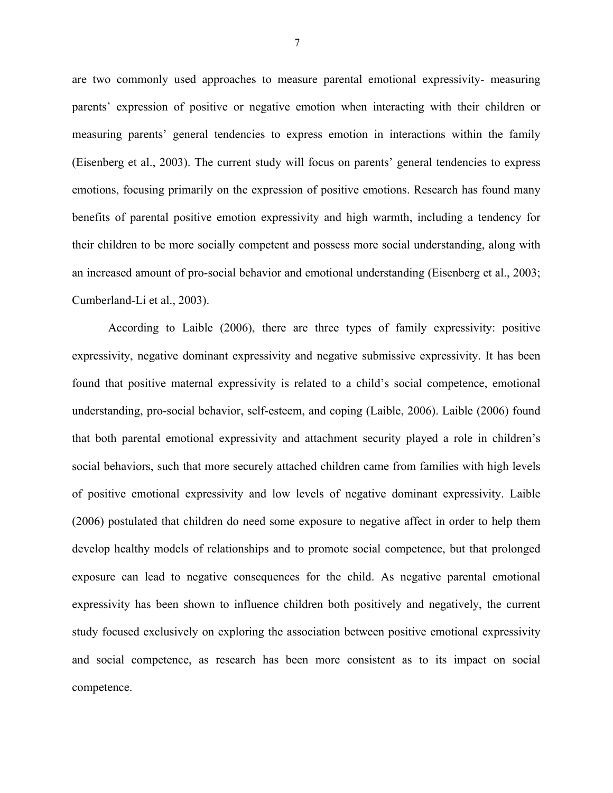are two commonly used approaches to measure parental emotional expressivity- measuring parents' expression of positive or negative emotion when interacting with their children or measuring parents' general tendencies to express emotion in interactions within the family (Eisenberg et al., 2003). The current study will focus on parents' general tendencies to express emotions, focusing primarily on the expression of positive emotions. Research has found many benefits of parental positive emotion expressivity and high warmth, including a tendency for their children to be more socially competent and possess more social understanding, along with an increased amount of pro-social behavior and emotional understanding (Eisenberg et al., 2003; Cumberland-Li et al., 2003).

According to Laible (2006), there are three types of family expressivity: positive expressivity, negative dominant expressivity and negative submissive expressivity. It has been found that positive maternal expressivity is related to a child's social competence, emotional understanding, pro-social behavior, self-esteem, and coping (Laible, 2006). Laible (2006) found that both parental emotional expressivity and attachment security played a role in children's social behaviors, such that more securely attached children came from families with high levels of positive emotional expressivity and low levels of negative dominant expressivity. Laible (2006) postulated that children do need some exposure to negative affect in order to help them develop healthy models of relationships and to promote social competence, but that prolonged exposure can lead to negative consequences for the child. As negative parental emotional expressivity has been shown to influence children both positively and negatively, the current study focused exclusively on exploring the association between positive emotional expressivity and social competence, as research has been more consistent as to its impact on social competence.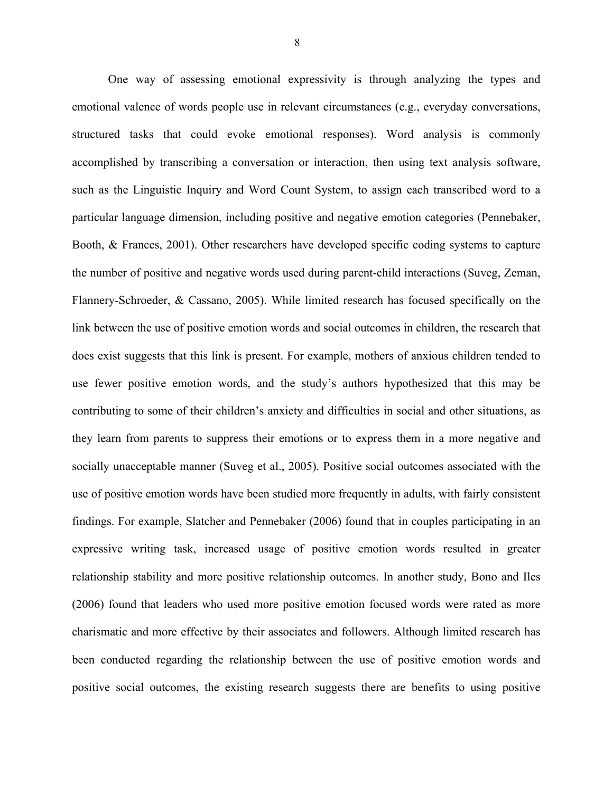One way of assessing emotional expressivity is through analyzing the types and emotional valence of words people use in relevant circumstances (e.g., everyday conversations, structured tasks that could evoke emotional responses). Word analysis is commonly accomplished by transcribing a conversation or interaction, then using text analysis software, such as the Linguistic Inquiry and Word Count System, to assign each transcribed word to a particular language dimension, including positive and negative emotion categories (Pennebaker, Booth, & Frances, 2001). Other researchers have developed specific coding systems to capture the number of positive and negative words used during parent-child interactions (Suveg, Zeman, Flannery-Schroeder, & Cassano, 2005). While limited research has focused specifically on the link between the use of positive emotion words and social outcomes in children, the research that does exist suggests that this link is present. For example, mothers of anxious children tended to use fewer positive emotion words, and the study's authors hypothesized that this may be contributing to some of their children's anxiety and difficulties in social and other situations, as they learn from parents to suppress their emotions or to express them in a more negative and socially unacceptable manner (Suveg et al., 2005). Positive social outcomes associated with the use of positive emotion words have been studied more frequently in adults, with fairly consistent findings. For example, Slatcher and Pennebaker (2006) found that in couples participating in an expressive writing task, increased usage of positive emotion words resulted in greater relationship stability and more positive relationship outcomes. In another study, Bono and Iles (2006) found that leaders who used more positive emotion focused words were rated as more charismatic and more effective by their associates and followers. Although limited research has been conducted regarding the relationship between the use of positive emotion words and positive social outcomes, the existing research suggests there are benefits to using positive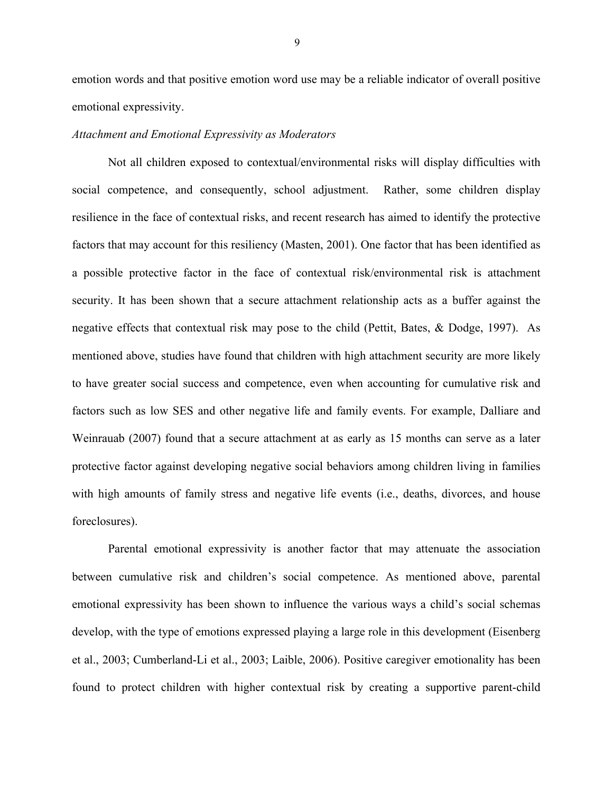emotion words and that positive emotion word use may be a reliable indicator of overall positive emotional expressivity.

#### *Attachment and Emotional Expressivity as Moderators*

Not all children exposed to contextual/environmental risks will display difficulties with social competence, and consequently, school adjustment. Rather, some children display resilience in the face of contextual risks, and recent research has aimed to identify the protective factors that may account for this resiliency (Masten, 2001). One factor that has been identified as a possible protective factor in the face of contextual risk/environmental risk is attachment security. It has been shown that a secure attachment relationship acts as a buffer against the negative effects that contextual risk may pose to the child (Pettit, Bates, & Dodge, 1997). As mentioned above, studies have found that children with high attachment security are more likely to have greater social success and competence, even when accounting for cumulative risk and factors such as low SES and other negative life and family events. For example, Dalliare and Weinrauab (2007) found that a secure attachment at as early as 15 months can serve as a later protective factor against developing negative social behaviors among children living in families with high amounts of family stress and negative life events (i.e., deaths, divorces, and house foreclosures).

Parental emotional expressivity is another factor that may attenuate the association between cumulative risk and children's social competence. As mentioned above, parental emotional expressivity has been shown to influence the various ways a child's social schemas develop, with the type of emotions expressed playing a large role in this development (Eisenberg et al., 2003; Cumberland-Li et al., 2003; Laible, 2006). Positive caregiver emotionality has been found to protect children with higher contextual risk by creating a supportive parent-child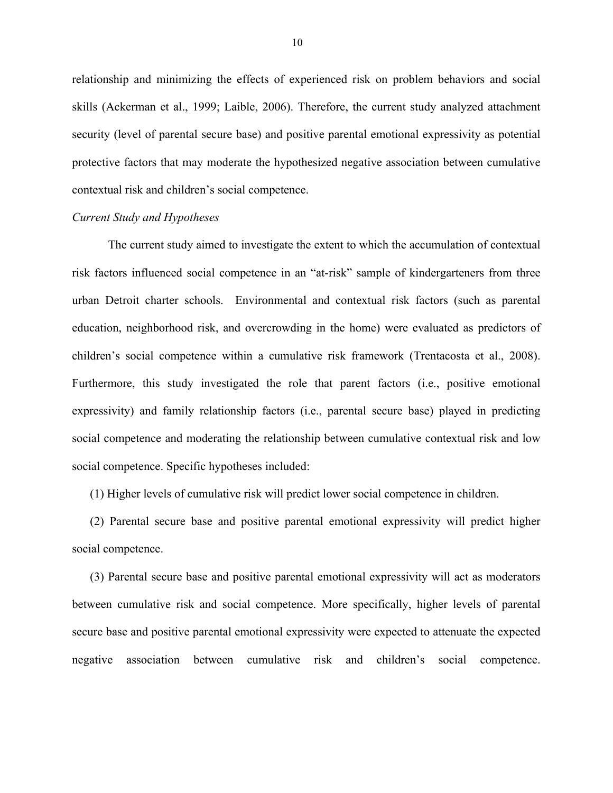relationship and minimizing the effects of experienced risk on problem behaviors and social skills (Ackerman et al., 1999; Laible, 2006). Therefore, the current study analyzed attachment security (level of parental secure base) and positive parental emotional expressivity as potential protective factors that may moderate the hypothesized negative association between cumulative contextual risk and children's social competence.

#### *Current Study and Hypotheses*

The current study aimed to investigate the extent to which the accumulation of contextual risk factors influenced social competence in an "at-risk" sample of kindergarteners from three urban Detroit charter schools. Environmental and contextual risk factors (such as parental education, neighborhood risk, and overcrowding in the home) were evaluated as predictors of children's social competence within a cumulative risk framework (Trentacosta et al., 2008). Furthermore, this study investigated the role that parent factors (i.e., positive emotional expressivity) and family relationship factors (i.e., parental secure base) played in predicting social competence and moderating the relationship between cumulative contextual risk and low social competence. Specific hypotheses included:

(1) Higher levels of cumulative risk will predict lower social competence in children.

(2) Parental secure base and positive parental emotional expressivity will predict higher social competence.

(3) Parental secure base and positive parental emotional expressivity will act as moderators between cumulative risk and social competence. More specifically, higher levels of parental secure base and positive parental emotional expressivity were expected to attenuate the expected negative association between cumulative risk and children's social competence.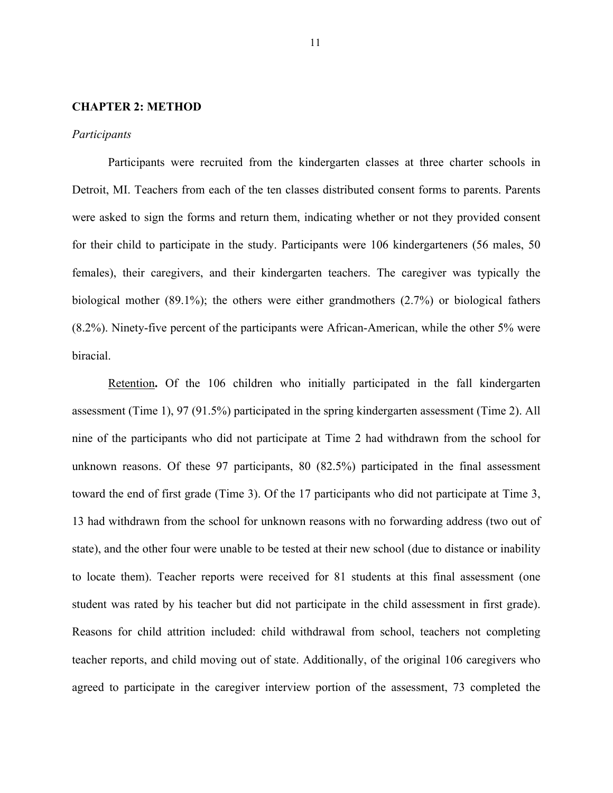#### **CHAPTER 2: METHOD**

#### *Participants*

Participants were recruited from the kindergarten classes at three charter schools in Detroit, MI. Teachers from each of the ten classes distributed consent forms to parents. Parents were asked to sign the forms and return them, indicating whether or not they provided consent for their child to participate in the study. Participants were 106 kindergarteners (56 males, 50 females), their caregivers, and their kindergarten teachers. The caregiver was typically the biological mother (89.1%); the others were either grandmothers (2.7%) or biological fathers (8.2%). Ninety-five percent of the participants were African-American, while the other 5% were biracial.

Retention**.** Of the 106 children who initially participated in the fall kindergarten assessment (Time 1), 97 (91.5%) participated in the spring kindergarten assessment (Time 2). All nine of the participants who did not participate at Time 2 had withdrawn from the school for unknown reasons. Of these 97 participants, 80 (82.5%) participated in the final assessment toward the end of first grade (Time 3). Of the 17 participants who did not participate at Time 3, 13 had withdrawn from the school for unknown reasons with no forwarding address (two out of state), and the other four were unable to be tested at their new school (due to distance or inability to locate them). Teacher reports were received for 81 students at this final assessment (one student was rated by his teacher but did not participate in the child assessment in first grade). Reasons for child attrition included: child withdrawal from school, teachers not completing teacher reports, and child moving out of state. Additionally, of the original 106 caregivers who agreed to participate in the caregiver interview portion of the assessment, 73 completed the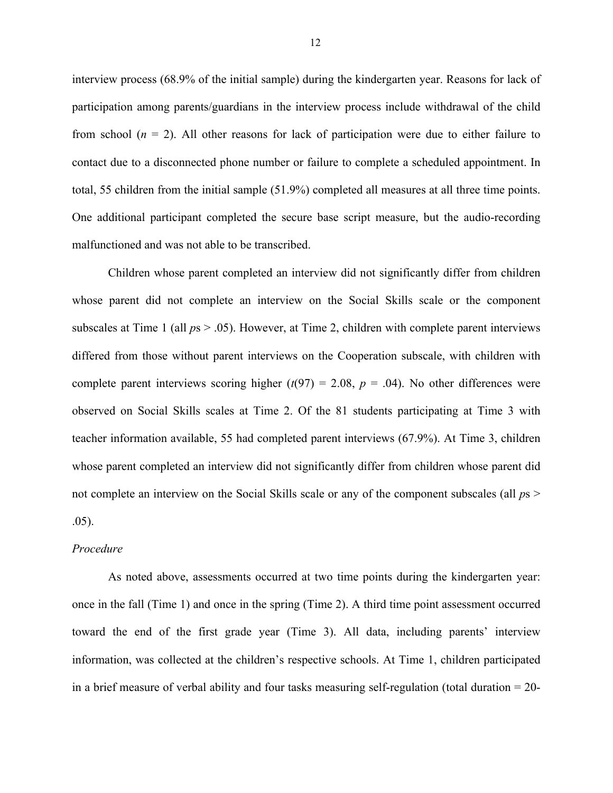interview process (68.9% of the initial sample) during the kindergarten year. Reasons for lack of participation among parents/guardians in the interview process include withdrawal of the child from school (*n* = 2). All other reasons for lack of participation were due to either failure to contact due to a disconnected phone number or failure to complete a scheduled appointment. In total, 55 children from the initial sample (51.9%) completed all measures at all three time points. One additional participant completed the secure base script measure, but the audio-recording malfunctioned and was not able to be transcribed.

Children whose parent completed an interview did not significantly differ from children whose parent did not complete an interview on the Social Skills scale or the component subscales at Time 1 (all  $ps > .05$ ). However, at Time 2, children with complete parent interviews differed from those without parent interviews on the Cooperation subscale, with children with complete parent interviews scoring higher  $(t(97) = 2.08, p = .04)$ . No other differences were observed on Social Skills scales at Time 2. Of the 81 students participating at Time 3 with teacher information available, 55 had completed parent interviews (67.9%). At Time 3, children whose parent completed an interview did not significantly differ from children whose parent did not complete an interview on the Social Skills scale or any of the component subscales (all  $p_s$ ) .05).

#### *Procedure*

As noted above, assessments occurred at two time points during the kindergarten year: once in the fall (Time 1) and once in the spring (Time 2). A third time point assessment occurred toward the end of the first grade year (Time 3). All data, including parents' interview information, was collected at the children's respective schools. At Time 1, children participated in a brief measure of verbal ability and four tasks measuring self-regulation (total duration = 20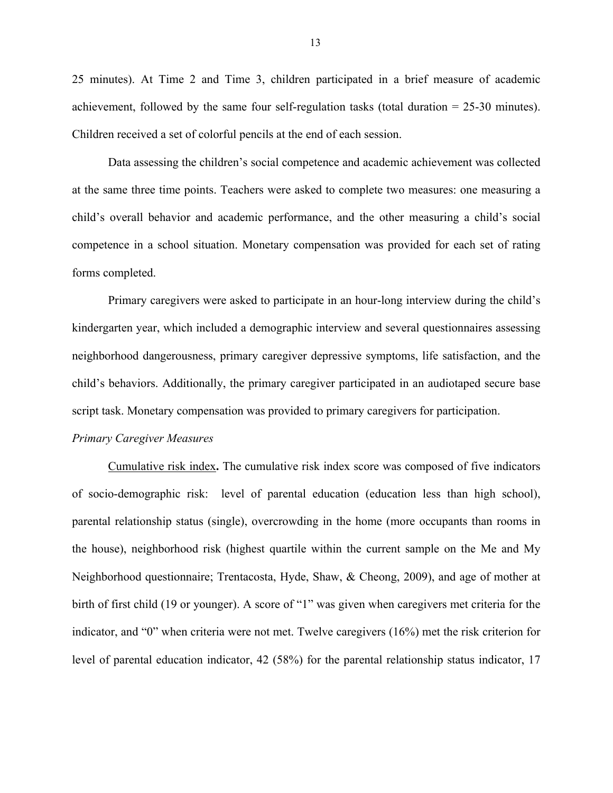25 minutes). At Time 2 and Time 3, children participated in a brief measure of academic achievement, followed by the same four self-regulation tasks (total duration = 25-30 minutes). Children received a set of colorful pencils at the end of each session.

Data assessing the children's social competence and academic achievement was collected at the same three time points. Teachers were asked to complete two measures: one measuring a child's overall behavior and academic performance, and the other measuring a child's social competence in a school situation. Monetary compensation was provided for each set of rating forms completed.

Primary caregivers were asked to participate in an hour-long interview during the child's kindergarten year, which included a demographic interview and several questionnaires assessing neighborhood dangerousness, primary caregiver depressive symptoms, life satisfaction, and the child's behaviors. Additionally, the primary caregiver participated in an audiotaped secure base script task. Monetary compensation was provided to primary caregivers for participation.

#### *Primary Caregiver Measures*

Cumulative risk index**.** The cumulative risk index score was composed of five indicators of socio-demographic risk: level of parental education (education less than high school), parental relationship status (single), overcrowding in the home (more occupants than rooms in the house), neighborhood risk (highest quartile within the current sample on the Me and My Neighborhood questionnaire; Trentacosta, Hyde, Shaw, & Cheong, 2009), and age of mother at birth of first child (19 or younger). A score of "1" was given when caregivers met criteria for the indicator, and "0" when criteria were not met. Twelve caregivers (16%) met the risk criterion for level of parental education indicator, 42 (58%) for the parental relationship status indicator, 17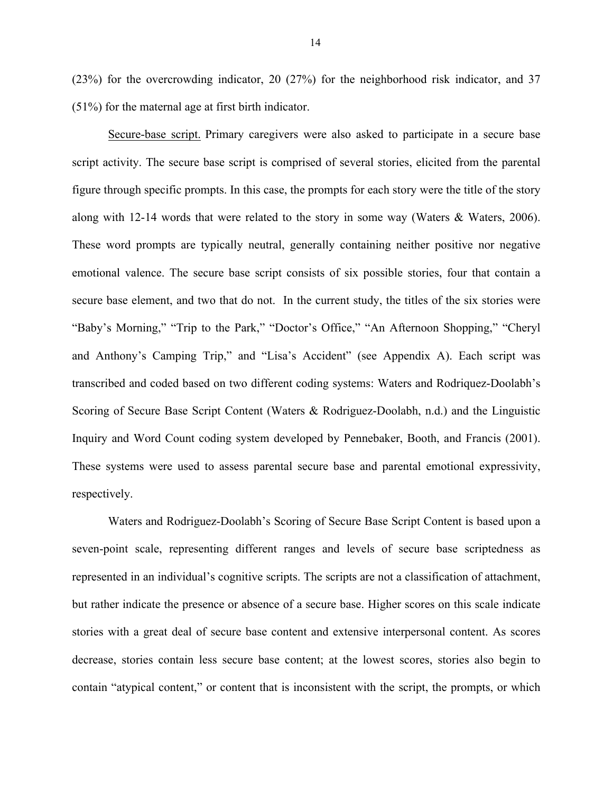(23%) for the overcrowding indicator, 20 (27%) for the neighborhood risk indicator, and 37 (51%) for the maternal age at first birth indicator.

Secure-base script. Primary caregivers were also asked to participate in a secure base script activity. The secure base script is comprised of several stories, elicited from the parental figure through specific prompts. In this case, the prompts for each story were the title of the story along with 12-14 words that were related to the story in some way (Waters & Waters, 2006). These word prompts are typically neutral, generally containing neither positive nor negative emotional valence. The secure base script consists of six possible stories, four that contain a secure base element, and two that do not. In the current study, the titles of the six stories were "Baby's Morning," "Trip to the Park," "Doctor's Office," "An Afternoon Shopping," "Cheryl and Anthony's Camping Trip," and "Lisa's Accident" (see Appendix A). Each script was transcribed and coded based on two different coding systems: Waters and Rodriquez-Doolabh's Scoring of Secure Base Script Content (Waters & Rodriguez-Doolabh, n.d.) and the Linguistic Inquiry and Word Count coding system developed by Pennebaker, Booth, and Francis (2001). These systems were used to assess parental secure base and parental emotional expressivity, respectively.

Waters and Rodriguez-Doolabh's Scoring of Secure Base Script Content is based upon a seven-point scale, representing different ranges and levels of secure base scriptedness as represented in an individual's cognitive scripts. The scripts are not a classification of attachment, but rather indicate the presence or absence of a secure base. Higher scores on this scale indicate stories with a great deal of secure base content and extensive interpersonal content. As scores decrease, stories contain less secure base content; at the lowest scores, stories also begin to contain "atypical content," or content that is inconsistent with the script, the prompts, or which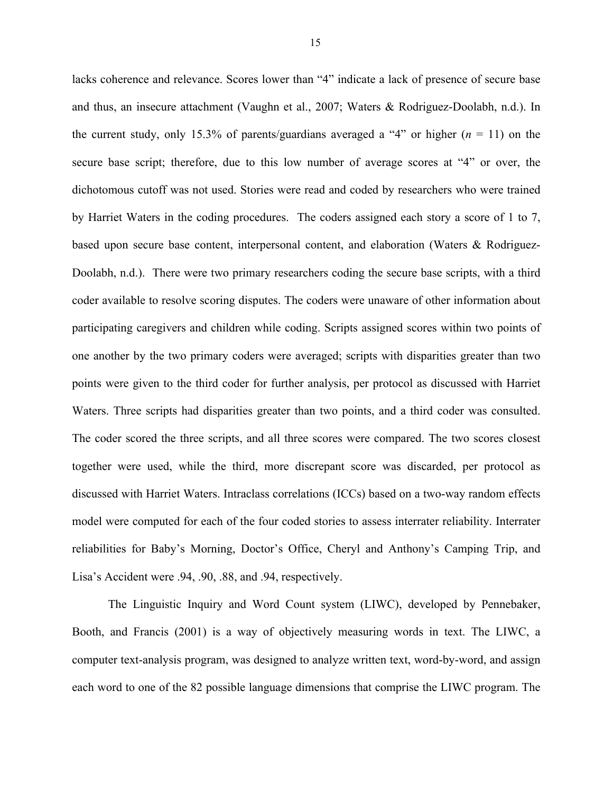lacks coherence and relevance. Scores lower than "4" indicate a lack of presence of secure base and thus, an insecure attachment (Vaughn et al., 2007; Waters & Rodriguez-Doolabh, n.d.). In the current study, only 15.3% of parents/guardians averaged a "4" or higher  $(n = 11)$  on the secure base script; therefore, due to this low number of average scores at "4" or over, the dichotomous cutoff was not used. Stories were read and coded by researchers who were trained by Harriet Waters in the coding procedures. The coders assigned each story a score of 1 to 7, based upon secure base content, interpersonal content, and elaboration (Waters & Rodriguez-Doolabh, n.d.). There were two primary researchers coding the secure base scripts, with a third coder available to resolve scoring disputes. The coders were unaware of other information about participating caregivers and children while coding. Scripts assigned scores within two points of one another by the two primary coders were averaged; scripts with disparities greater than two points were given to the third coder for further analysis, per protocol as discussed with Harriet Waters. Three scripts had disparities greater than two points, and a third coder was consulted. The coder scored the three scripts, and all three scores were compared. The two scores closest together were used, while the third, more discrepant score was discarded, per protocol as discussed with Harriet Waters. Intraclass correlations (ICCs) based on a two-way random effects model were computed for each of the four coded stories to assess interrater reliability. Interrater reliabilities for Baby's Morning, Doctor's Office, Cheryl and Anthony's Camping Trip, and Lisa's Accident were .94, .90, .88, and .94, respectively.

The Linguistic Inquiry and Word Count system (LIWC), developed by Pennebaker, Booth, and Francis (2001) is a way of objectively measuring words in text. The LIWC, a computer text-analysis program, was designed to analyze written text, word-by-word, and assign each word to one of the 82 possible language dimensions that comprise the LIWC program. The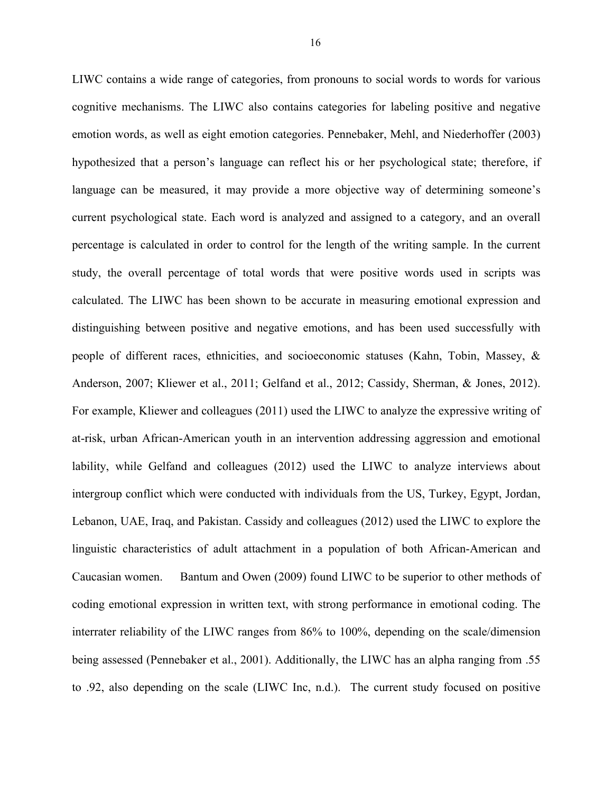LIWC contains a wide range of categories, from pronouns to social words to words for various cognitive mechanisms. The LIWC also contains categories for labeling positive and negative emotion words, as well as eight emotion categories. Pennebaker, Mehl, and Niederhoffer (2003) hypothesized that a person's language can reflect his or her psychological state; therefore, if language can be measured, it may provide a more objective way of determining someone's current psychological state. Each word is analyzed and assigned to a category, and an overall percentage is calculated in order to control for the length of the writing sample. In the current study, the overall percentage of total words that were positive words used in scripts was calculated. The LIWC has been shown to be accurate in measuring emotional expression and distinguishing between positive and negative emotions, and has been used successfully with people of different races, ethnicities, and socioeconomic statuses (Kahn, Tobin, Massey, & Anderson, 2007; Kliewer et al., 2011; Gelfand et al., 2012; Cassidy, Sherman, & Jones, 2012). For example, Kliewer and colleagues (2011) used the LIWC to analyze the expressive writing of at-risk, urban African-American youth in an intervention addressing aggression and emotional lability, while Gelfand and colleagues (2012) used the LIWC to analyze interviews about intergroup conflict which were conducted with individuals from the US, Turkey, Egypt, Jordan, Lebanon, UAE, Iraq, and Pakistan. Cassidy and colleagues (2012) used the LIWC to explore the linguistic characteristics of adult attachment in a population of both African-American and Caucasian women. Bantum and Owen (2009) found LIWC to be superior to other methods of coding emotional expression in written text, with strong performance in emotional coding. The interrater reliability of the LIWC ranges from 86% to 100%, depending on the scale/dimension being assessed (Pennebaker et al., 2001). Additionally, the LIWC has an alpha ranging from .55 to .92, also depending on the scale (LIWC Inc, n.d.). The current study focused on positive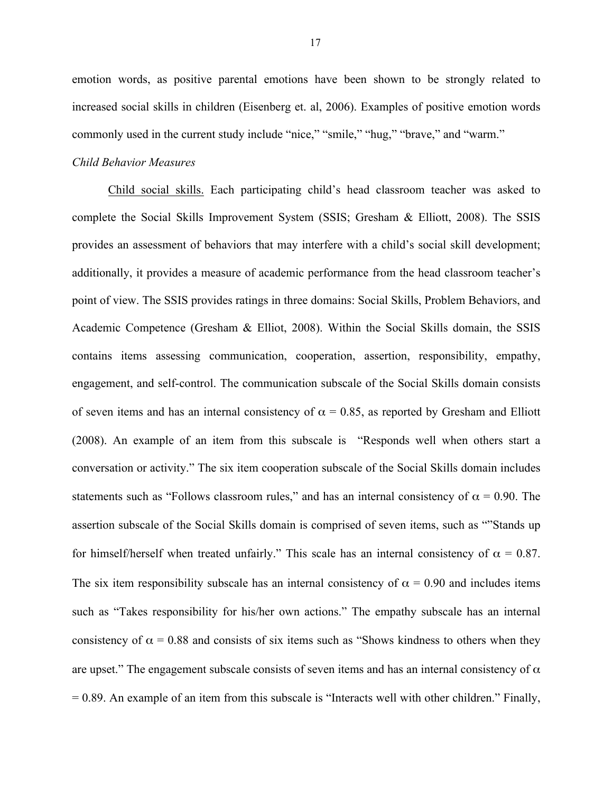emotion words, as positive parental emotions have been shown to be strongly related to increased social skills in children (Eisenberg et. al, 2006). Examples of positive emotion words commonly used in the current study include "nice," "smile," "hug," "brave," and "warm."

#### *Child Behavior Measures*

Child social skills. Each participating child's head classroom teacher was asked to complete the Social Skills Improvement System (SSIS; Gresham & Elliott, 2008). The SSIS provides an assessment of behaviors that may interfere with a child's social skill development; additionally, it provides a measure of academic performance from the head classroom teacher's point of view. The SSIS provides ratings in three domains: Social Skills, Problem Behaviors, and Academic Competence (Gresham & Elliot, 2008). Within the Social Skills domain, the SSIS contains items assessing communication, cooperation, assertion, responsibility, empathy, engagement, and self-control. The communication subscale of the Social Skills domain consists of seven items and has an internal consistency of  $\alpha = 0.85$ , as reported by Gresham and Elliott (2008). An example of an item from this subscale is "Responds well when others start a conversation or activity." The six item cooperation subscale of the Social Skills domain includes statements such as "Follows classroom rules," and has an internal consistency of  $\alpha = 0.90$ . The assertion subscale of the Social Skills domain is comprised of seven items, such as ""Stands up for himself/herself when treated unfairly." This scale has an internal consistency of  $\alpha = 0.87$ . The six item responsibility subscale has an internal consistency of  $\alpha = 0.90$  and includes items such as "Takes responsibility for his/her own actions." The empathy subscale has an internal consistency of  $\alpha = 0.88$  and consists of six items such as "Shows kindness to others when they are upset." The engagement subscale consists of seven items and has an internal consistency of  $\alpha$ = 0.89. An example of an item from this subscale is "Interacts well with other children." Finally,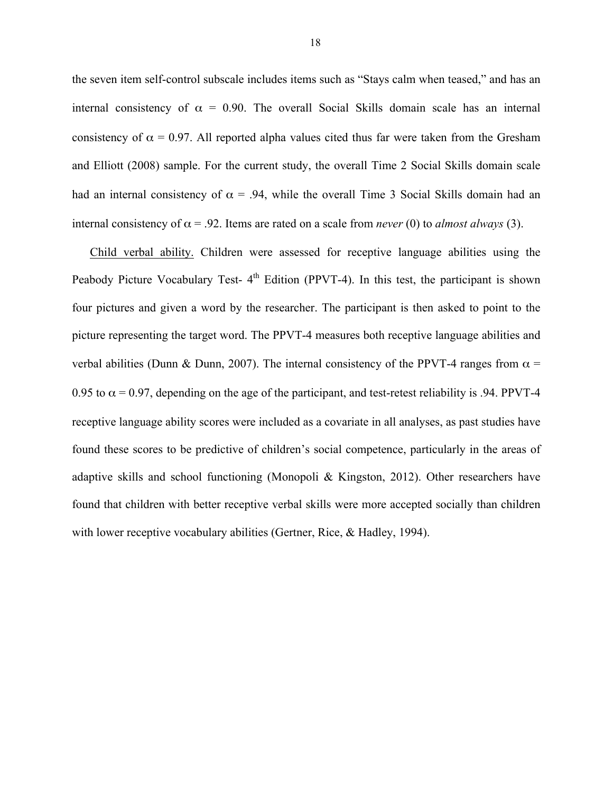the seven item self-control subscale includes items such as "Stays calm when teased," and has an internal consistency of  $\alpha = 0.90$ . The overall Social Skills domain scale has an internal consistency of  $\alpha = 0.97$ . All reported alpha values cited thus far were taken from the Gresham and Elliott (2008) sample. For the current study, the overall Time 2 Social Skills domain scale had an internal consistency of  $\alpha$  = .94, while the overall Time 3 Social Skills domain had an internal consistency of  $\alpha$  = .92. Items are rated on a scale from *never* (0) to *almost always* (3).

Child verbal ability. Children were assessed for receptive language abilities using the Peabody Picture Vocabulary Test-  $4<sup>th</sup>$  Edition (PPVT-4). In this test, the participant is shown four pictures and given a word by the researcher. The participant is then asked to point to the picture representing the target word. The PPVT-4 measures both receptive language abilities and verbal abilities (Dunn & Dunn, 2007). The internal consistency of the PPVT-4 ranges from  $\alpha$  = 0.95 to  $\alpha$  = 0.97, depending on the age of the participant, and test-retest reliability is .94. PPVT-4 receptive language ability scores were included as a covariate in all analyses, as past studies have found these scores to be predictive of children's social competence, particularly in the areas of adaptive skills and school functioning (Monopoli & Kingston, 2012). Other researchers have found that children with better receptive verbal skills were more accepted socially than children with lower receptive vocabulary abilities (Gertner, Rice, & Hadley, 1994).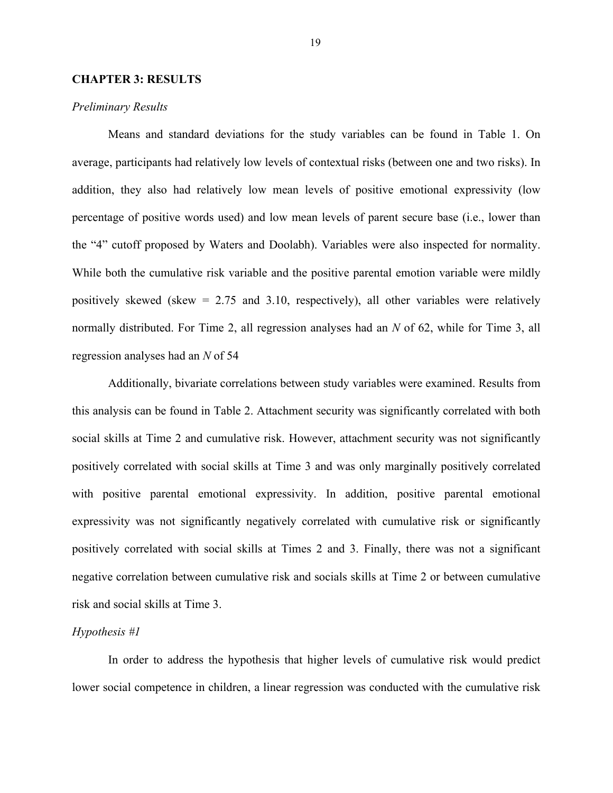#### **CHAPTER 3: RESULTS**

#### *Preliminary Results*

Means and standard deviations for the study variables can be found in Table 1. On average, participants had relatively low levels of contextual risks (between one and two risks). In addition, they also had relatively low mean levels of positive emotional expressivity (low percentage of positive words used) and low mean levels of parent secure base (i.e., lower than the "4" cutoff proposed by Waters and Doolabh). Variables were also inspected for normality. While both the cumulative risk variable and the positive parental emotion variable were mildly positively skewed (skew = 2.75 and 3.10, respectively), all other variables were relatively normally distributed. For Time 2, all regression analyses had an *N* of 62, while for Time 3, all regression analyses had an *N* of 54

Additionally, bivariate correlations between study variables were examined. Results from this analysis can be found in Table 2. Attachment security was significantly correlated with both social skills at Time 2 and cumulative risk. However, attachment security was not significantly positively correlated with social skills at Time 3 and was only marginally positively correlated with positive parental emotional expressivity. In addition, positive parental emotional expressivity was not significantly negatively correlated with cumulative risk or significantly positively correlated with social skills at Times 2 and 3. Finally, there was not a significant negative correlation between cumulative risk and socials skills at Time 2 or between cumulative risk and social skills at Time 3.

#### *Hypothesis #1*

In order to address the hypothesis that higher levels of cumulative risk would predict lower social competence in children, a linear regression was conducted with the cumulative risk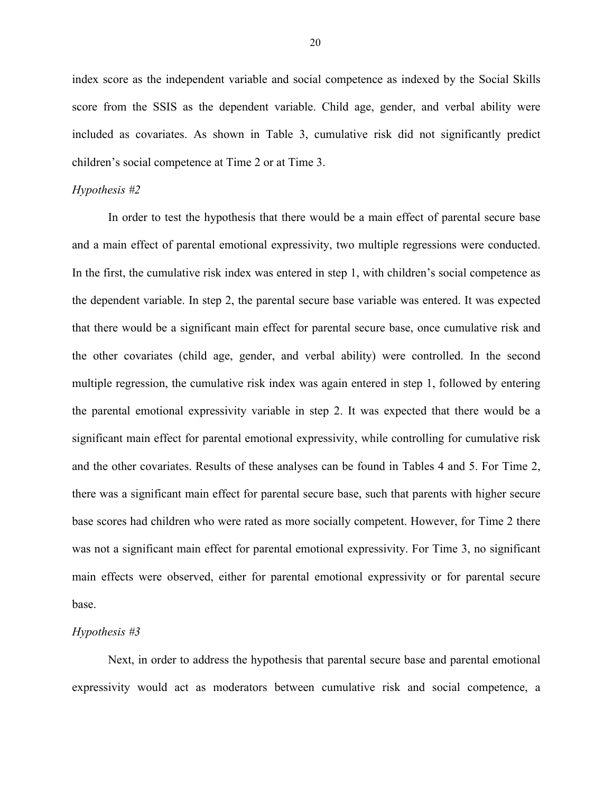index score as the independent variable and social competence as indexed by the Social Skills score from the SSIS as the dependent variable. Child age, gender, and verbal ability were included as covariates. As shown in Table 3, cumulative risk did not significantly predict children's social competence at Time 2 or at Time 3.

#### *Hypothesis #2*

In order to test the hypothesis that there would be a main effect of parental secure base and a main effect of parental emotional expressivity, two multiple regressions were conducted. In the first, the cumulative risk index was entered in step 1, with children's social competence as the dependent variable. In step 2, the parental secure base variable was entered. It was expected that there would be a significant main effect for parental secure base, once cumulative risk and the other covariates (child age, gender, and verbal ability) were controlled. In the second multiple regression, the cumulative risk index was again entered in step 1, followed by entering the parental emotional expressivity variable in step 2. It was expected that there would be a significant main effect for parental emotional expressivity, while controlling for cumulative risk and the other covariates. Results of these analyses can be found in Tables 4 and 5. For Time 2, there was a significant main effect for parental secure base, such that parents with higher secure base scores had children who were rated as more socially competent. However, for Time 2 there was not a significant main effect for parental emotional expressivity. For Time 3, no significant main effects were observed, either for parental emotional expressivity or for parental secure base.

#### *Hypothesis #3*

Next, in order to address the hypothesis that parental secure base and parental emotional expressivity would act as moderators between cumulative risk and social competence, a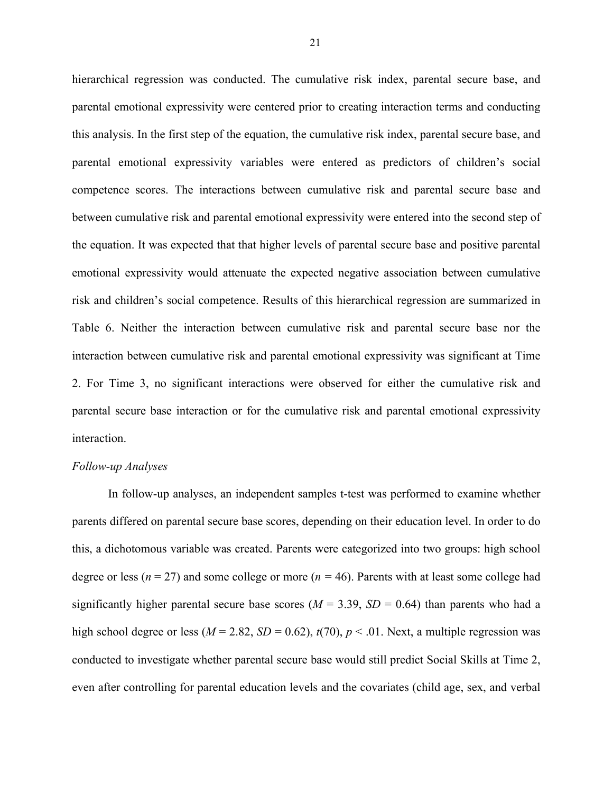hierarchical regression was conducted. The cumulative risk index, parental secure base, and parental emotional expressivity were centered prior to creating interaction terms and conducting this analysis. In the first step of the equation, the cumulative risk index, parental secure base, and parental emotional expressivity variables were entered as predictors of children's social competence scores. The interactions between cumulative risk and parental secure base and between cumulative risk and parental emotional expressivity were entered into the second step of the equation. It was expected that that higher levels of parental secure base and positive parental emotional expressivity would attenuate the expected negative association between cumulative risk and children's social competence. Results of this hierarchical regression are summarized in Table 6. Neither the interaction between cumulative risk and parental secure base nor the interaction between cumulative risk and parental emotional expressivity was significant at Time 2. For Time 3, no significant interactions were observed for either the cumulative risk and parental secure base interaction or for the cumulative risk and parental emotional expressivity interaction.

#### *Follow-up Analyses*

In follow-up analyses, an independent samples t-test was performed to examine whether parents differed on parental secure base scores, depending on their education level. In order to do this, a dichotomous variable was created. Parents were categorized into two groups: high school degree or less (*n* = 27) and some college or more (*n =* 46). Parents with at least some college had significantly higher parental secure base scores ( $M = 3.39$ ,  $SD = 0.64$ ) than parents who had a high school degree or less ( $M = 2.82$ ,  $SD = 0.62$ ),  $t(70)$ ,  $p < .01$ . Next, a multiple regression was conducted to investigate whether parental secure base would still predict Social Skills at Time 2, even after controlling for parental education levels and the covariates (child age, sex, and verbal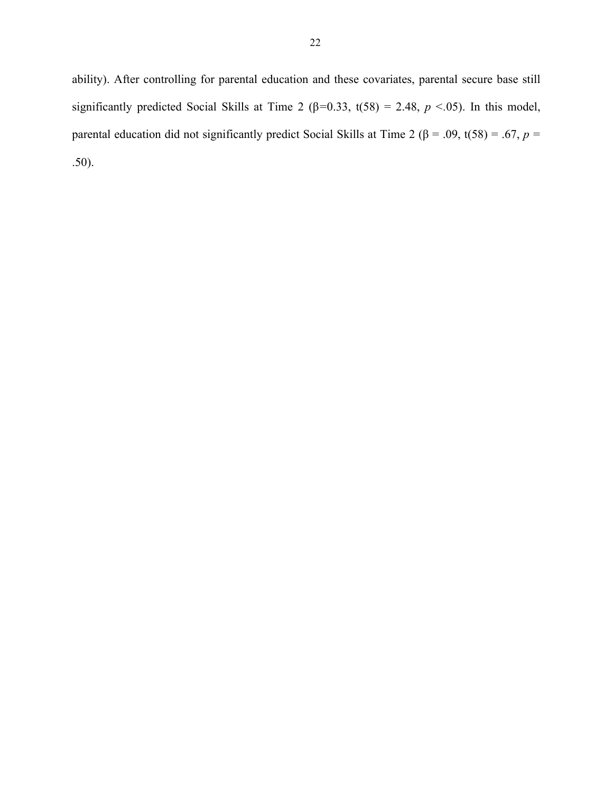ability). After controlling for parental education and these covariates, parental secure base still significantly predicted Social Skills at Time 2 ( $\beta$ =0.33, t(58) = 2.48, *p* <.05). In this model, parental education did not significantly predict Social Skills at Time 2 (β = .09, t(58) = .67, *p* = .50).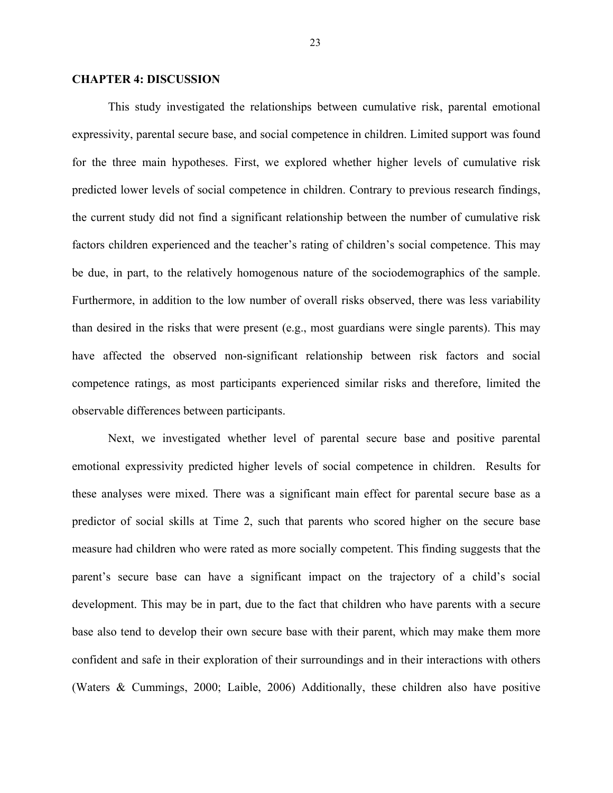#### **CHAPTER 4: DISCUSSION**

This study investigated the relationships between cumulative risk, parental emotional expressivity, parental secure base, and social competence in children. Limited support was found for the three main hypotheses. First, we explored whether higher levels of cumulative risk predicted lower levels of social competence in children. Contrary to previous research findings, the current study did not find a significant relationship between the number of cumulative risk factors children experienced and the teacher's rating of children's social competence. This may be due, in part, to the relatively homogenous nature of the sociodemographics of the sample. Furthermore, in addition to the low number of overall risks observed, there was less variability than desired in the risks that were present (e.g., most guardians were single parents). This may have affected the observed non-significant relationship between risk factors and social competence ratings, as most participants experienced similar risks and therefore, limited the observable differences between participants.

Next, we investigated whether level of parental secure base and positive parental emotional expressivity predicted higher levels of social competence in children. Results for these analyses were mixed. There was a significant main effect for parental secure base as a predictor of social skills at Time 2, such that parents who scored higher on the secure base measure had children who were rated as more socially competent. This finding suggests that the parent's secure base can have a significant impact on the trajectory of a child's social development. This may be in part, due to the fact that children who have parents with a secure base also tend to develop their own secure base with their parent, which may make them more confident and safe in their exploration of their surroundings and in their interactions with others (Waters & Cummings, 2000; Laible, 2006) Additionally, these children also have positive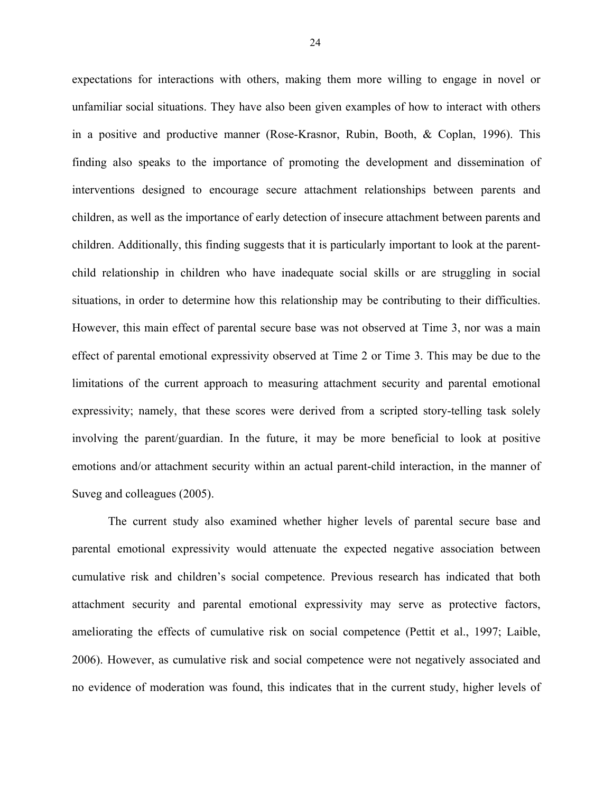expectations for interactions with others, making them more willing to engage in novel or unfamiliar social situations. They have also been given examples of how to interact with others in a positive and productive manner (Rose-Krasnor, Rubin, Booth, & Coplan, 1996). This finding also speaks to the importance of promoting the development and dissemination of interventions designed to encourage secure attachment relationships between parents and children, as well as the importance of early detection of insecure attachment between parents and children. Additionally, this finding suggests that it is particularly important to look at the parentchild relationship in children who have inadequate social skills or are struggling in social situations, in order to determine how this relationship may be contributing to their difficulties. However, this main effect of parental secure base was not observed at Time 3, nor was a main effect of parental emotional expressivity observed at Time 2 or Time 3. This may be due to the limitations of the current approach to measuring attachment security and parental emotional expressivity; namely, that these scores were derived from a scripted story-telling task solely involving the parent/guardian. In the future, it may be more beneficial to look at positive emotions and/or attachment security within an actual parent-child interaction, in the manner of Suveg and colleagues (2005).

The current study also examined whether higher levels of parental secure base and parental emotional expressivity would attenuate the expected negative association between cumulative risk and children's social competence. Previous research has indicated that both attachment security and parental emotional expressivity may serve as protective factors, ameliorating the effects of cumulative risk on social competence (Pettit et al., 1997; Laible, 2006). However, as cumulative risk and social competence were not negatively associated and no evidence of moderation was found, this indicates that in the current study, higher levels of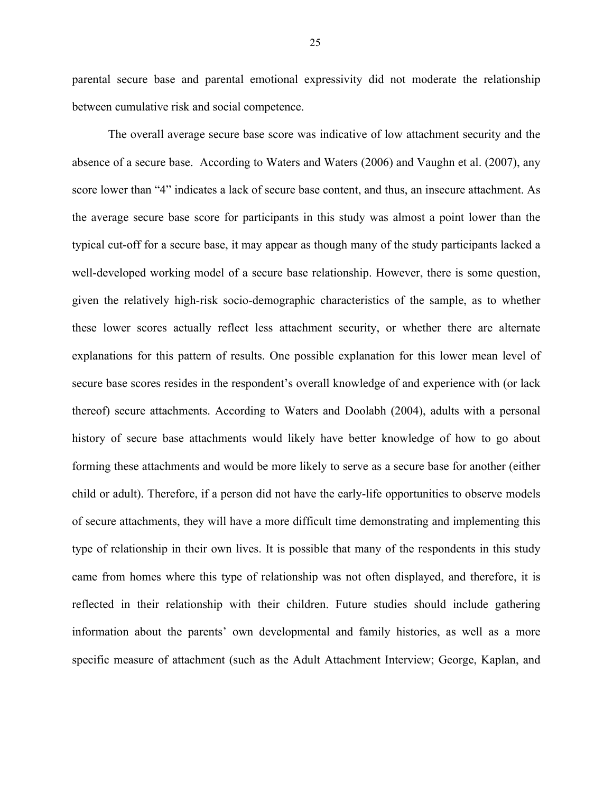parental secure base and parental emotional expressivity did not moderate the relationship between cumulative risk and social competence.

The overall average secure base score was indicative of low attachment security and the absence of a secure base. According to Waters and Waters (2006) and Vaughn et al. (2007), any score lower than "4" indicates a lack of secure base content, and thus, an insecure attachment. As the average secure base score for participants in this study was almost a point lower than the typical cut-off for a secure base, it may appear as though many of the study participants lacked a well-developed working model of a secure base relationship. However, there is some question, given the relatively high-risk socio-demographic characteristics of the sample, as to whether these lower scores actually reflect less attachment security, or whether there are alternate explanations for this pattern of results. One possible explanation for this lower mean level of secure base scores resides in the respondent's overall knowledge of and experience with (or lack thereof) secure attachments. According to Waters and Doolabh (2004), adults with a personal history of secure base attachments would likely have better knowledge of how to go about forming these attachments and would be more likely to serve as a secure base for another (either child or adult). Therefore, if a person did not have the early-life opportunities to observe models of secure attachments, they will have a more difficult time demonstrating and implementing this type of relationship in their own lives. It is possible that many of the respondents in this study came from homes where this type of relationship was not often displayed, and therefore, it is reflected in their relationship with their children. Future studies should include gathering information about the parents' own developmental and family histories, as well as a more specific measure of attachment (such as the Adult Attachment Interview; George, Kaplan, and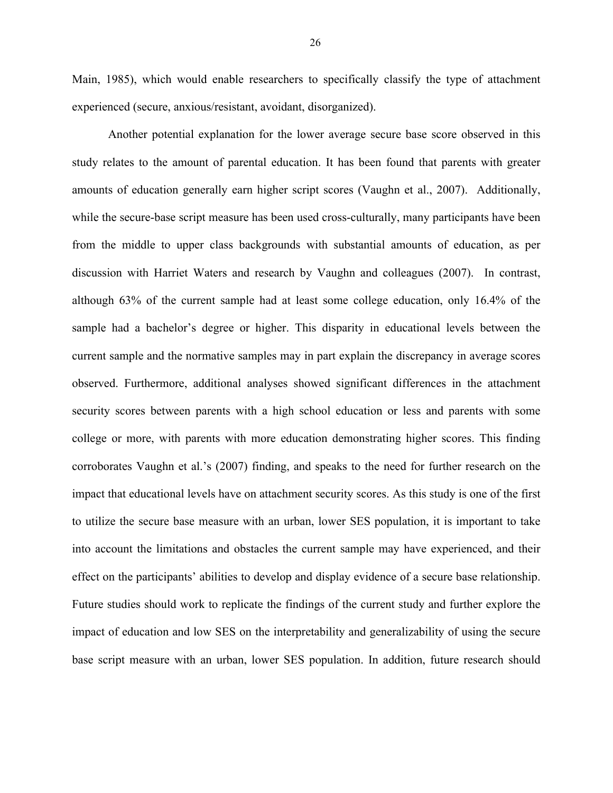Main, 1985), which would enable researchers to specifically classify the type of attachment experienced (secure, anxious/resistant, avoidant, disorganized).

Another potential explanation for the lower average secure base score observed in this study relates to the amount of parental education. It has been found that parents with greater amounts of education generally earn higher script scores (Vaughn et al., 2007). Additionally, while the secure-base script measure has been used cross-culturally, many participants have been from the middle to upper class backgrounds with substantial amounts of education, as per discussion with Harriet Waters and research by Vaughn and colleagues (2007). In contrast, although 63% of the current sample had at least some college education, only 16.4% of the sample had a bachelor's degree or higher. This disparity in educational levels between the current sample and the normative samples may in part explain the discrepancy in average scores observed. Furthermore, additional analyses showed significant differences in the attachment security scores between parents with a high school education or less and parents with some college or more, with parents with more education demonstrating higher scores. This finding corroborates Vaughn et al.'s (2007) finding, and speaks to the need for further research on the impact that educational levels have on attachment security scores. As this study is one of the first to utilize the secure base measure with an urban, lower SES population, it is important to take into account the limitations and obstacles the current sample may have experienced, and their effect on the participants' abilities to develop and display evidence of a secure base relationship. Future studies should work to replicate the findings of the current study and further explore the impact of education and low SES on the interpretability and generalizability of using the secure base script measure with an urban, lower SES population. In addition, future research should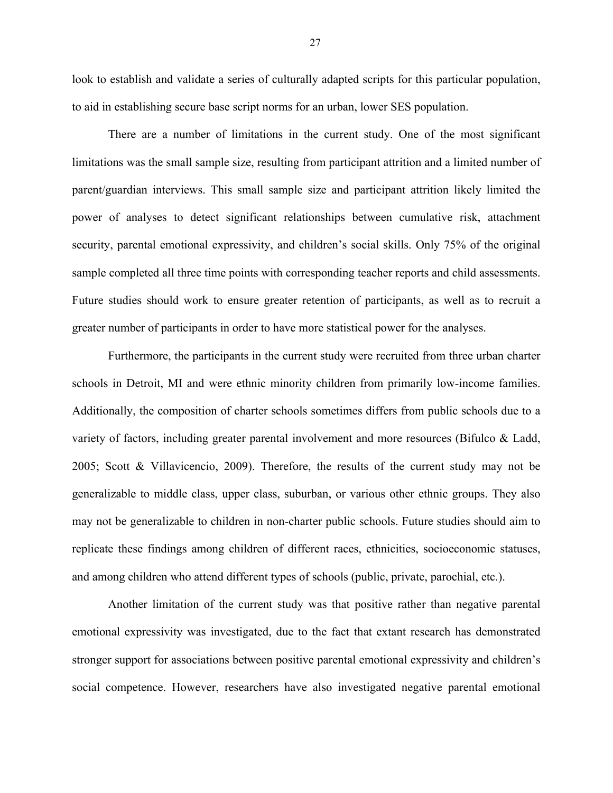look to establish and validate a series of culturally adapted scripts for this particular population, to aid in establishing secure base script norms for an urban, lower SES population.

There are a number of limitations in the current study. One of the most significant limitations was the small sample size, resulting from participant attrition and a limited number of parent/guardian interviews. This small sample size and participant attrition likely limited the power of analyses to detect significant relationships between cumulative risk, attachment security, parental emotional expressivity, and children's social skills. Only 75% of the original sample completed all three time points with corresponding teacher reports and child assessments. Future studies should work to ensure greater retention of participants, as well as to recruit a greater number of participants in order to have more statistical power for the analyses.

Furthermore, the participants in the current study were recruited from three urban charter schools in Detroit, MI and were ethnic minority children from primarily low-income families. Additionally, the composition of charter schools sometimes differs from public schools due to a variety of factors, including greater parental involvement and more resources (Bifulco & Ladd, 2005; Scott & Villavicencio, 2009). Therefore, the results of the current study may not be generalizable to middle class, upper class, suburban, or various other ethnic groups. They also may not be generalizable to children in non-charter public schools. Future studies should aim to replicate these findings among children of different races, ethnicities, socioeconomic statuses, and among children who attend different types of schools (public, private, parochial, etc.).

Another limitation of the current study was that positive rather than negative parental emotional expressivity was investigated, due to the fact that extant research has demonstrated stronger support for associations between positive parental emotional expressivity and children's social competence. However, researchers have also investigated negative parental emotional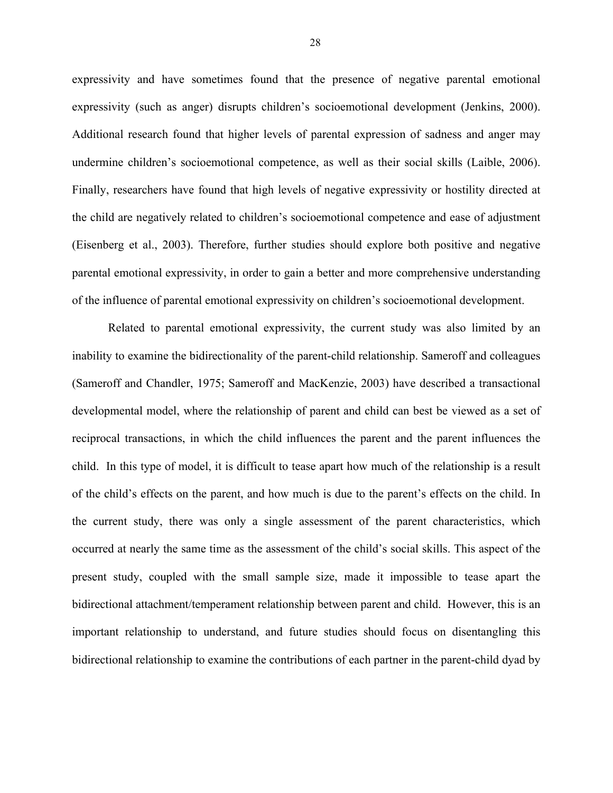expressivity and have sometimes found that the presence of negative parental emotional expressivity (such as anger) disrupts children's socioemotional development (Jenkins, 2000). Additional research found that higher levels of parental expression of sadness and anger may undermine children's socioemotional competence, as well as their social skills (Laible, 2006). Finally, researchers have found that high levels of negative expressivity or hostility directed at the child are negatively related to children's socioemotional competence and ease of adjustment (Eisenberg et al., 2003). Therefore, further studies should explore both positive and negative parental emotional expressivity, in order to gain a better and more comprehensive understanding of the influence of parental emotional expressivity on children's socioemotional development.

Related to parental emotional expressivity, the current study was also limited by an inability to examine the bidirectionality of the parent-child relationship. Sameroff and colleagues (Sameroff and Chandler, 1975; Sameroff and MacKenzie, 2003) have described a transactional developmental model, where the relationship of parent and child can best be viewed as a set of reciprocal transactions, in which the child influences the parent and the parent influences the child. In this type of model, it is difficult to tease apart how much of the relationship is a result of the child's effects on the parent, and how much is due to the parent's effects on the child. In the current study, there was only a single assessment of the parent characteristics, which occurred at nearly the same time as the assessment of the child's social skills. This aspect of the present study, coupled with the small sample size, made it impossible to tease apart the bidirectional attachment/temperament relationship between parent and child. However, this is an important relationship to understand, and future studies should focus on disentangling this bidirectional relationship to examine the contributions of each partner in the parent-child dyad by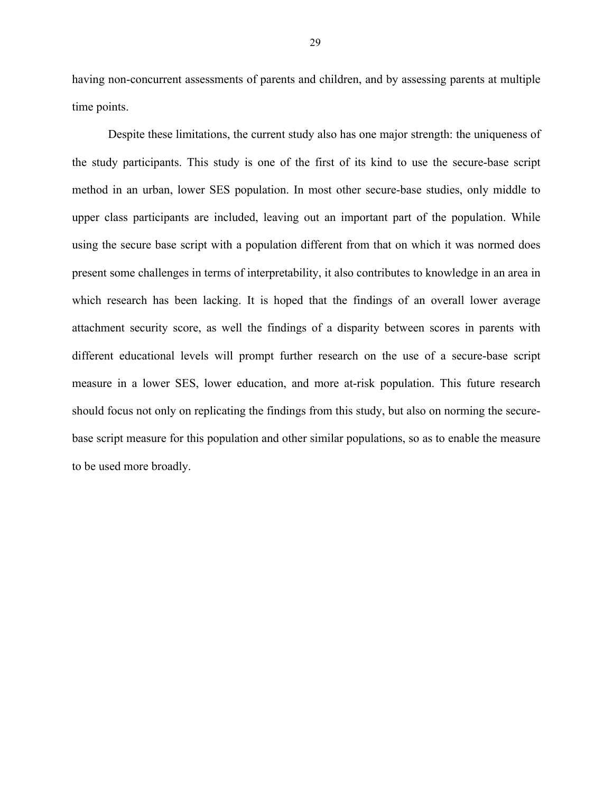having non-concurrent assessments of parents and children, and by assessing parents at multiple time points.

Despite these limitations, the current study also has one major strength: the uniqueness of the study participants. This study is one of the first of its kind to use the secure-base script method in an urban, lower SES population. In most other secure-base studies, only middle to upper class participants are included, leaving out an important part of the population. While using the secure base script with a population different from that on which it was normed does present some challenges in terms of interpretability, it also contributes to knowledge in an area in which research has been lacking. It is hoped that the findings of an overall lower average attachment security score, as well the findings of a disparity between scores in parents with different educational levels will prompt further research on the use of a secure-base script measure in a lower SES, lower education, and more at-risk population. This future research should focus not only on replicating the findings from this study, but also on norming the securebase script measure for this population and other similar populations, so as to enable the measure to be used more broadly.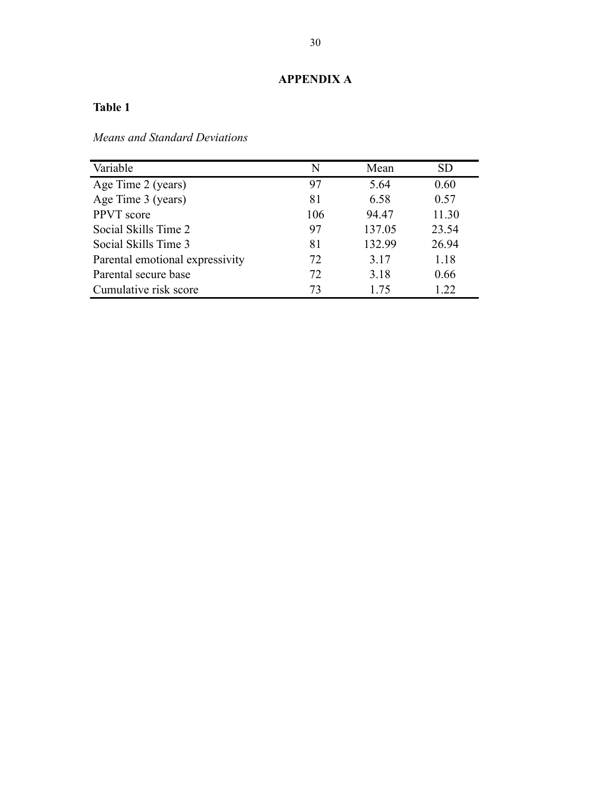# **APPENDIX A**

# **Table 1**

*Means and Standard Deviations*

| Variable                        | N   | Mean   | <b>SD</b> |
|---------------------------------|-----|--------|-----------|
| Age Time 2 (years)              | 97  | 5.64   | 0.60      |
| Age Time 3 (years)              | 81  | 6.58   | 0.57      |
| PPVT score                      | 106 | 94.47  | 11.30     |
| Social Skills Time 2            | 97  | 137.05 | 23.54     |
| Social Skills Time 3            | 81  | 132.99 | 26.94     |
| Parental emotional expressivity | 72  | 3.17   | 1.18      |
| Parental secure base            | 72  | 3.18   | 0.66      |
| Cumulative risk score           | 73  | 1 75   | 1.22      |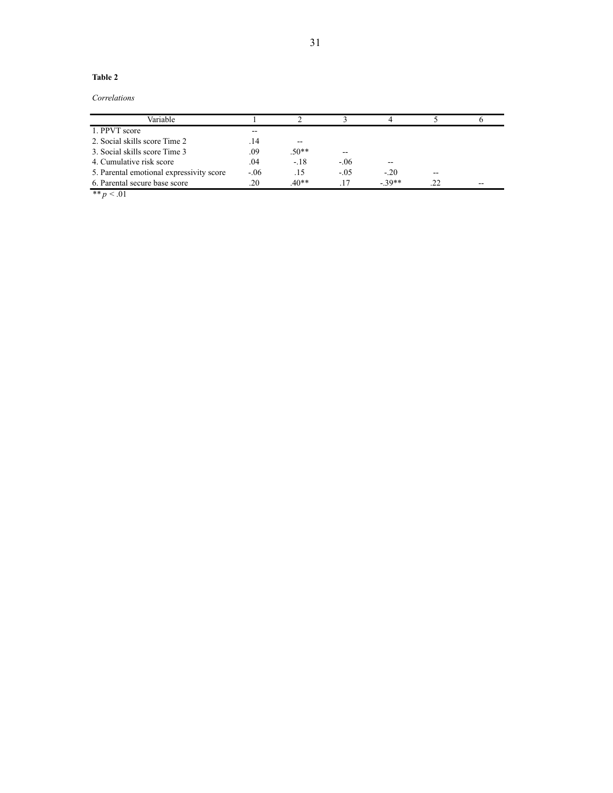#### **Table 2**

*Correlations*

| Variable                                 |        |         |        |         |    |       |
|------------------------------------------|--------|---------|--------|---------|----|-------|
| 1. PPVT score                            | $- -$  |         |        |         |    |       |
| 2. Social skills score Time 2            | 14     | $- -$   |        |         |    |       |
| 3. Social skills score Time 3            | .09    | $.50**$ | --     |         |    |       |
| 4. Cumulative risk score                 | .04    | $-.18$  | $-.06$ | --      |    |       |
| 5. Parental emotional expressivity score | $-.06$ | .15     | $-.05$ | $-20$   | -- |       |
| 6. Parental secure base score            | .20    | $40**$  | 17     | $-39**$ | 22 | $- -$ |

*\*\* p* < .01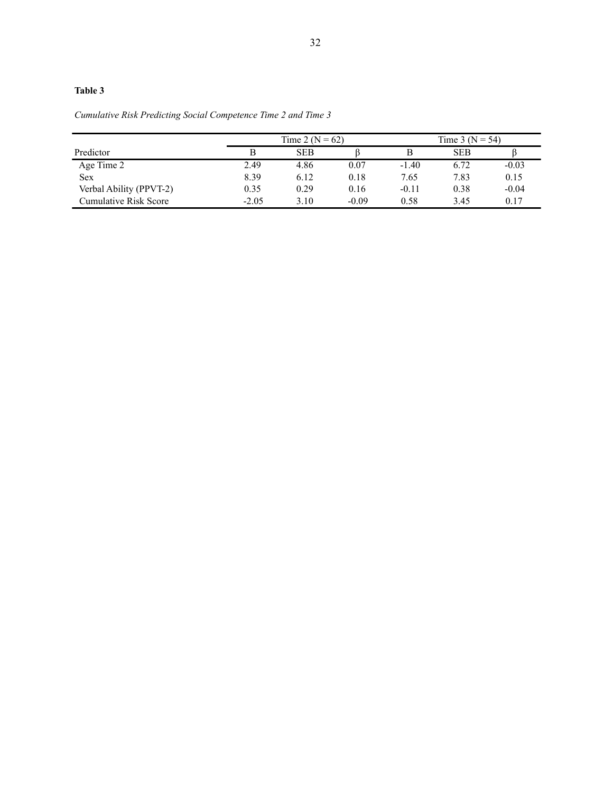### **Table 3**

*Cumulative Risk Predicting Social Competence Time 2 and Time 3*

|                         |         | Time 2 ( $N = 62$ ) |         |         | Time 3 ( $N = 54$ ) |         |
|-------------------------|---------|---------------------|---------|---------|---------------------|---------|
| Predictor               |         | <b>SEB</b>          |         |         | <b>SEB</b>          |         |
| Age Time 2              | 2.49    | 4.86                | 0.07    | $-1.40$ | 6.72                | $-0.03$ |
| <b>Sex</b>              | 8.39    | 6.12                | 0.18    | 7.65    | 7.83                | 0.15    |
| Verbal Ability (PPVT-2) | 0.35    | 0.29                | 0.16    | $-0.11$ | 0.38                | $-0.04$ |
| Cumulative Risk Score   | $-2.05$ | 3.10                | $-0.09$ | 0.58    | 3.45                | 0.17    |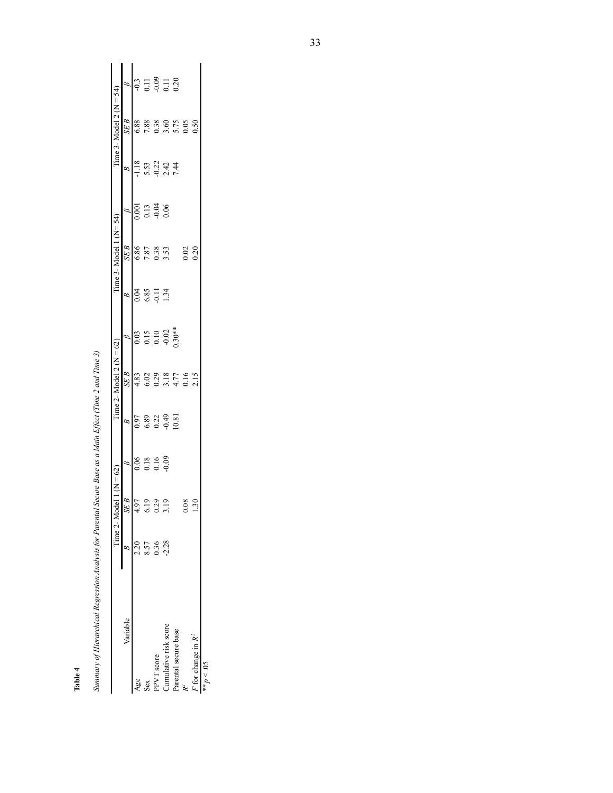|                                    | Time $2 - N$ | odel 1 (N = 62)        |                            |                                                                     | Time 2- Model 2 ( $N = 62$ )                                            |                                                                      |                      | $Time 3 - Model 1 (N = 54)$ |                      |                      | Time 3- Model 2 ( $N = 54$ )                 |                |
|------------------------------------|--------------|------------------------|----------------------------|---------------------------------------------------------------------|-------------------------------------------------------------------------|----------------------------------------------------------------------|----------------------|-----------------------------|----------------------|----------------------|----------------------------------------------|----------------|
| Variable                           |              | SEB                    |                            | B                                                                   | $\overline{SE}$ $B$                                                     |                                                                      | $\beta$              | SEB                         |                      | $\mathbb{B}$         | SEB                                          | $\beta$        |
| Age                                | 2.20         |                        |                            |                                                                     |                                                                         |                                                                      |                      |                             |                      |                      |                                              |                |
| Sex                                | 8.57         | $4.97$<br>6.19<br>0.29 |                            |                                                                     |                                                                         |                                                                      |                      |                             |                      |                      |                                              |                |
| PPVT score                         | 0.36         |                        | $0.06$<br>$0.16$<br>$0.09$ |                                                                     |                                                                         |                                                                      | 1.34<br>0.85<br>1.34 | 6.86<br>7.87<br>9.53        | 9010<br>0.13<br>0.04 |                      |                                              |                |
| Cumulative risk score              | 2.28         | 3.19                   |                            | $\begin{array}{c} 0.97 \\ 6.89 \\ 0.22 \\ 0.49 \\ 0.81 \end{array}$ |                                                                         | $\begin{array}{c} 0.03 \\ 0.15 \\ 0.10 \\ -0.02 \\ 0.03 \end{array}$ |                      |                             |                      | 1.18<br>5.53<br>7.44 |                                              | $37 = 87 = 20$ |
| 'arental secure base               |              |                        |                            |                                                                     |                                                                         |                                                                      |                      |                             |                      |                      |                                              |                |
|                                    |              | 0.08                   |                            |                                                                     | $33029$<br>$6029$<br>$750$<br>$750$<br>$750$<br>$750$<br>$750$<br>$750$ |                                                                      |                      |                             |                      |                      | 6.88<br>7.88<br>6.75<br>0.05<br>0.05<br>0.05 |                |
| $\overline{r}$ for change in $R^2$ |              | 1.30                   |                            |                                                                     |                                                                         |                                                                      |                      | $0.02$<br>$0.20$            |                      |                      |                                              |                |
| $50 > a_{**}$                      |              |                        |                            |                                                                     |                                                                         |                                                                      |                      |                             |                      |                      |                                              |                |

Summary of Hierarchical Regression Analysis for Parental Secure Base as a Main Effect (Time 2 and Time 3) *Summary of Hierarchical Regression Analysis for Parental Secure Base as a Main Effect (Time 2 and Time 3)*

**Table 4**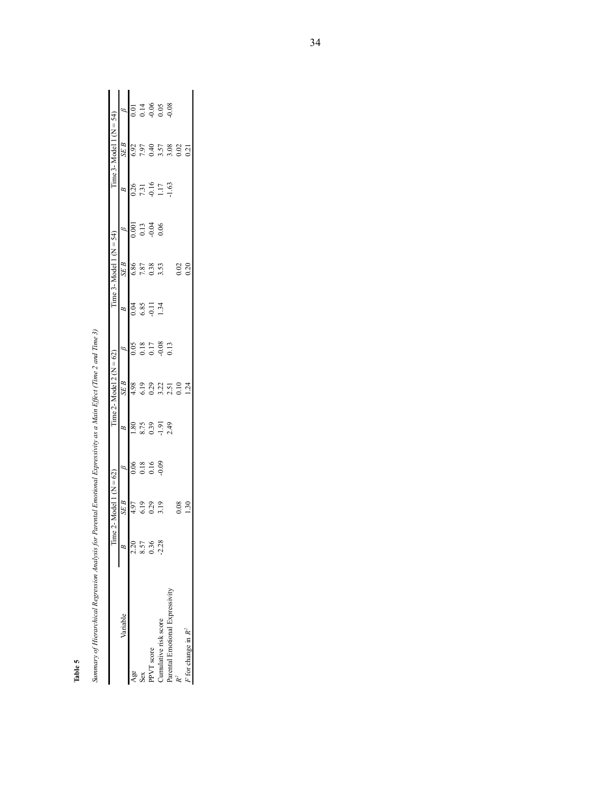| n     |  |
|-------|--|
| Table |  |
|       |  |

|                                    | Time                 | $vdel$ : | $(N = 62)$ |                 | Time 2- Model 2 ( $N = 62$ ) |         |               | Time 3-Model 1 ( $N = 54$ ) |      |                | $Time 3 - Model 1 (N = 54)$ |                            |
|------------------------------------|----------------------|----------|------------|-----------------|------------------------------|---------|---------------|-----------------------------|------|----------------|-----------------------------|----------------------------|
| Variable                           | $\frac{1}{\sqrt{2}}$ | SE B     |            | B               | SE B                         |         | B             | SE B                        |      | B              | SEB                         |                            |
| Age                                | 2.20                 | 4.97     |            | $\frac{80}{2}$  | 4.98                         | 20(     | 0.04          | 6.86                        | 00(  | 0.26           | 6.92                        |                            |
| Sex                                | 8.57                 |          | 0.18       |                 | 619                          | 0.18    | 6.85<br>-0.11 | 7.87                        | 0.13 | 7.31           | 7.97                        |                            |
| PVT score                          | 0.36                 | 0.29     | 0.16       | 8.75            | 0.29                         | 0.17    |               | 0.38                        | 0.04 |                | 0.40                        |                            |
| Cumulative risk score              | $-2.28$              | 3.19     | 0.09       | $-1.91$<br>2.49 | 3.22                         | $-0.08$ | 1.34          | 3.53                        |      | $0.16$<br>1.17 | 3.57                        | $0.14$<br>$0.05$<br>$0.08$ |
| 'arental Emotional Expressivity    |                      |          |            |                 | 2.51                         | 0.13    |               |                             |      | 1.63           |                             |                            |
|                                    |                      |          |            |                 | 0.10                         |         |               | 0.02                        |      |                | $3.08$<br>$0.02$<br>$0.21$  |                            |
| $\overline{r}$ for change in $R^2$ |                      | غ        |            |                 | $\overline{24}$              |         |               | 0.20                        |      |                |                             |                            |

Summary of Hierarchical Regression Analysis for Parental Emotional Expressivity as a Main Effect (Time 2 and Time 3) *Summary of Hierarchical Regression Analysis for Parental Emotional Expressivity as a Main Effect (Time 2 and Time 3)*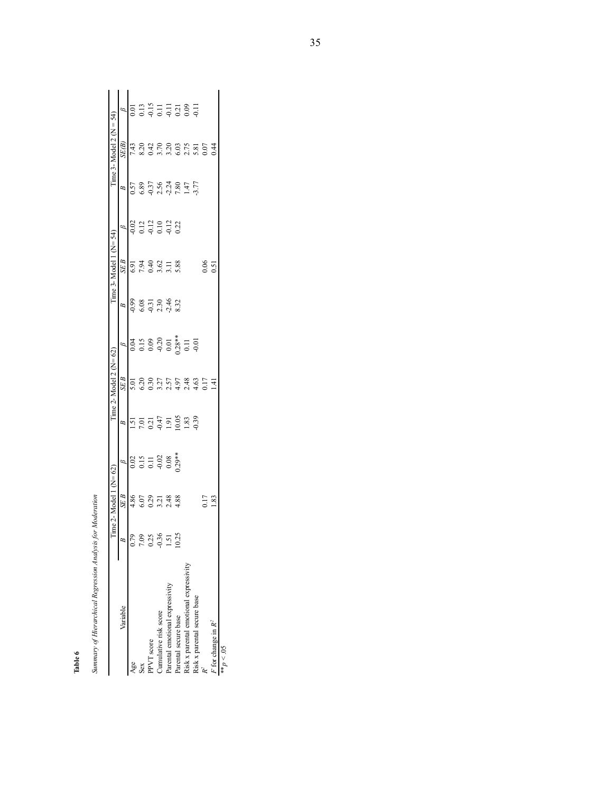| ï                                                                    |
|----------------------------------------------------------------------|
|                                                                      |
|                                                                      |
|                                                                      |
|                                                                      |
| I<br>ֺ֖֧֧֧֧֦֧ׅ֖֧֧֧֦֧֚֚֚֚֚֚֚֚֚֚֚֚֚֚֚֚֚֚֚֚֚֚֚֚֚֚֚֚֚֚֚֚֚֚֚֝֓֝֓֞֝֓֞֜֓֝֓֞ |
|                                                                      |
|                                                                      |
|                                                                      |
|                                                                      |
|                                                                      |
|                                                                      |
|                                                                      |
|                                                                      |
| :                                                                    |
|                                                                      |
|                                                                      |
|                                                                      |
| I                                                                    |
|                                                                      |

**Table 6**

|                                        | l ime 2- $\lambda$                    | del                                   | $N = 62$                                                 |                           | $Time 2 - Model 2 (N=62)$ |                                                                                                |                                                | $Time 3 - Model 1 (N = 54)$          |                                 |                                                    | $Time 3-Model 2 (N = 54)$ |                   |
|----------------------------------------|---------------------------------------|---------------------------------------|----------------------------------------------------------|---------------------------|---------------------------|------------------------------------------------------------------------------------------------|------------------------------------------------|--------------------------------------|---------------------------------|----------------------------------------------------|---------------------------|-------------------|
| Variable                               |                                       | SE B                                  |                                                          | B                         | SE B                      | ø                                                                                              | $\beta$                                        | SE B                                 |                                 | $\beta$                                            | SE(B)                     |                   |
| Age                                    |                                       | $4.86$<br>$6.021$<br>$4.88$<br>$4.88$ |                                                          |                           | 5.01                      |                                                                                                | $0.98$<br>$0.51$<br>$0.31$<br>$0.46$<br>$0.32$ |                                      |                                 | 57<br>6.89<br>0.37<br>0.37<br>0.37<br>2.77<br>7.77 |                           | $\overline{0.01}$ |
| Sex                                    |                                       |                                       |                                                          |                           |                           |                                                                                                |                                                |                                      |                                 |                                                    |                           |                   |
| PPVT score                             | 0.78<br>0.88<br>0.795<br>0.25<br>0.25 |                                       | $0.15$<br>$0.11$<br>$0.02$<br>$0.08$<br>$0.08$<br>$0.08$ | 15<br>50355833<br>1003019 |                           | $\begin{array}{c} 0.04 \\ 0.15 \\ 0.00 \\ 0.01 \\ 0.01 \\ 0.01 \\ 0.01 \\ 0.01 \\ \end{array}$ |                                                | 6.91<br>7.94<br>0.40<br>5.88<br>5.88 | 0<br>0 1 1 0 1 1<br>0 0 0 0 0 0 |                                                    |                           |                   |
| Cumulative risk score                  |                                       |                                       |                                                          |                           |                           |                                                                                                |                                                |                                      |                                 |                                                    |                           |                   |
| Parental emotional expressivity        |                                       |                                       |                                                          |                           |                           |                                                                                                |                                                |                                      |                                 |                                                    |                           |                   |
| Parental secure base                   |                                       |                                       |                                                          |                           |                           |                                                                                                |                                                |                                      |                                 |                                                    |                           |                   |
| Risk x parental emotional expressivity |                                       |                                       |                                                          |                           |                           |                                                                                                |                                                |                                      |                                 |                                                    |                           |                   |
| Risk x parental secure base            |                                       |                                       |                                                          |                           |                           |                                                                                                |                                                |                                      |                                 |                                                    |                           |                   |
|                                        |                                       |                                       |                                                          |                           |                           |                                                                                                |                                                | $\frac{0.06}{0.51}$                  |                                 |                                                    |                           |                   |
| $F$ for change in $R^2$                |                                       | $\frac{17}{1.83}$                     |                                                          |                           |                           |                                                                                                |                                                |                                      |                                 |                                                    |                           |                   |
| $\sim$                                 |                                       |                                       |                                                          |                           |                           |                                                                                                |                                                |                                      |                                 |                                                    |                           |                   |

 $50 > d_{**}$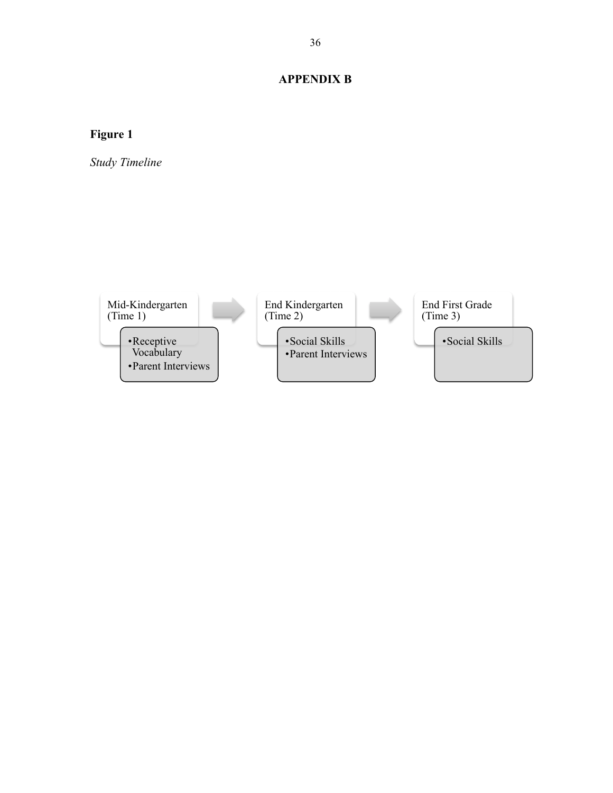# **APPENDIX B**

# **Figure 1**

*Study Timeline*

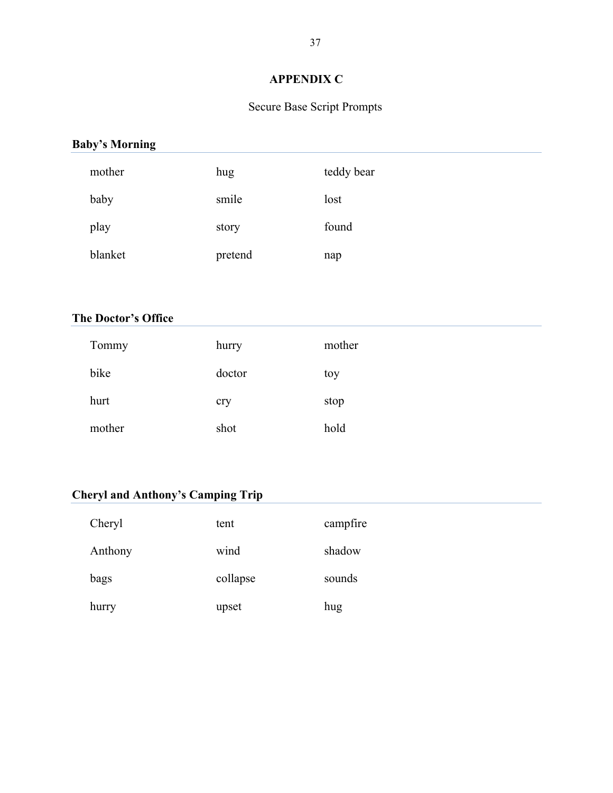# **APPENDIX C**

# Secure Base Script Prompts

# **Baby's Morning**

| mother  | hug     | teddy bear |
|---------|---------|------------|
| baby    | smile   | lost       |
| play    | story   | found      |
| blanket | pretend | nap        |

### **The Doctor's Office**

| Tommy  | hurry  | mother |
|--------|--------|--------|
| bike   | doctor | toy    |
| hurt   | cry    | stop   |
| mother | shot   | hold   |

# **Cheryl and Anthony's Camping Trip**

| Cheryl  | tent     | campfire |
|---------|----------|----------|
| Anthony | wind     | shadow   |
| bags    | collapse | sounds   |
| hurry   | upset    | hug      |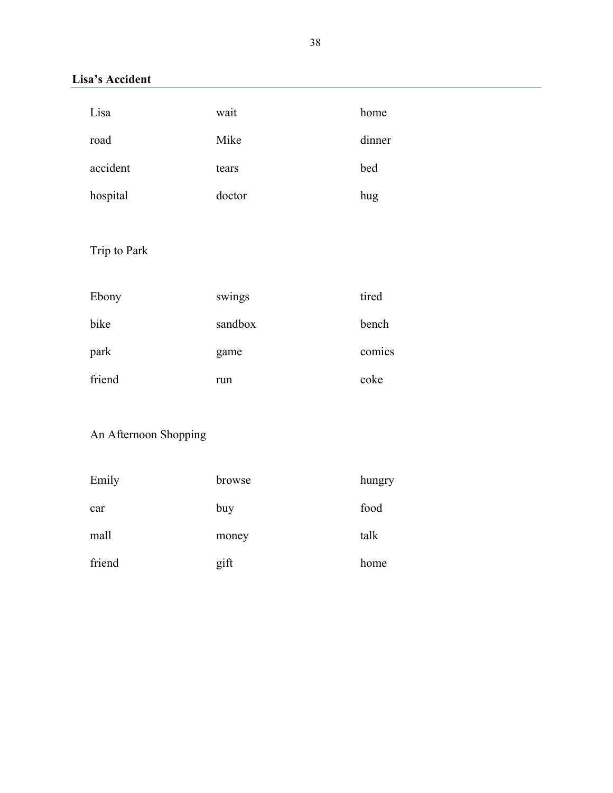# **Lisa's Accident**

| Lisa         | wait    | home   |
|--------------|---------|--------|
| road         | Mike    | dinner |
| accident     | tears   | bed    |
| hospital     | doctor  | hug    |
|              |         |        |
| Trip to Park |         |        |
|              |         |        |
|              |         |        |
| Ebony        | swings  | tired  |
| bike         | sandbox | bench  |
| park         | game    | comics |

# An Afternoon Shopping

| Emily  | browse | hungry |
|--------|--------|--------|
| car    | buy    | food   |
| mall   | money  | talk   |
| friend | gift   | home   |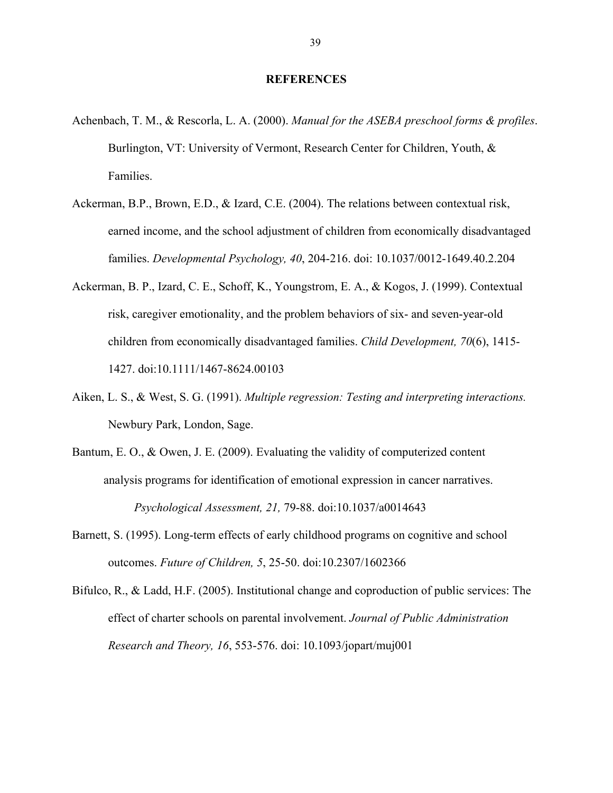#### **REFERENCES**

- Achenbach, T. M., & Rescorla, L. A. (2000). *Manual for the ASEBA preschool forms & profiles*. Burlington, VT: University of Vermont, Research Center for Children, Youth, & Families.
- Ackerman, B.P., Brown, E.D., & Izard, C.E. (2004). The relations between contextual risk, earned income, and the school adjustment of children from economically disadvantaged families. *Developmental Psychology, 40*, 204-216. doi: 10.1037/0012-1649.40.2.204
- Ackerman, B. P., Izard, C. E., Schoff, K., Youngstrom, E. A., & Kogos, J. (1999). Contextual risk, caregiver emotionality, and the problem behaviors of six- and seven-year-old children from economically disadvantaged families. *Child Development, 70*(6), 1415- 1427. doi:10.1111/1467-8624.00103
- Aiken, L. S., & West, S. G. (1991). *Multiple regression: Testing and interpreting interactions.* Newbury Park, London, Sage.
- Bantum, E. O., & Owen, J. E. (2009). Evaluating the validity of computerized content analysis programs for identification of emotional expression in cancer narratives. *Psychological Assessment, 21,* 79-88. doi:10.1037/a0014643
- Barnett, S. (1995). Long-term effects of early childhood programs on cognitive and school outcomes. *Future of Children, 5*, 25-50. doi:10.2307/1602366
- Bifulco, R., & Ladd, H.F. (2005). Institutional change and coproduction of public services: The effect of charter schools on parental involvement. *Journal of Public Administration Research and Theory, 16*, 553-576. doi: 10.1093/jopart/muj001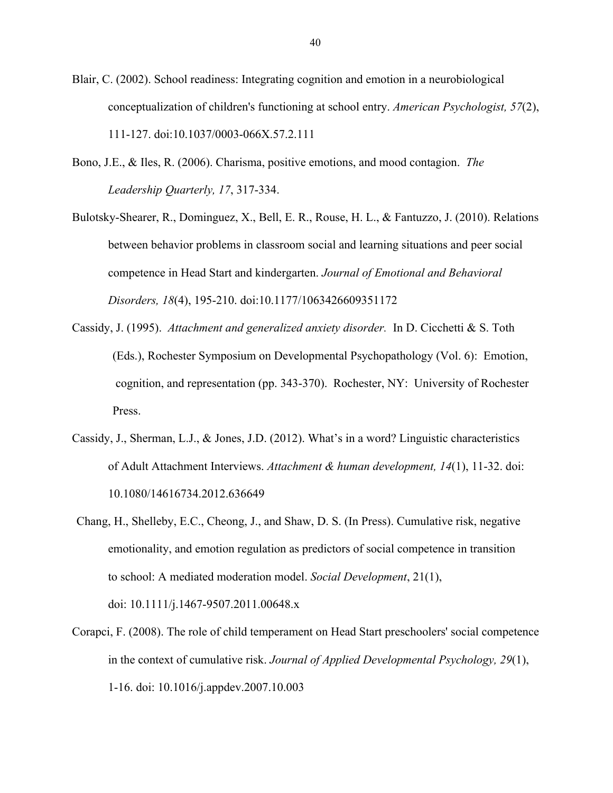Blair, C. (2002). School readiness: Integrating cognition and emotion in a neurobiological conceptualization of children's functioning at school entry. *American Psychologist, 57*(2), 111-127. doi:10.1037/0003-066X.57.2.111

- Bono, J.E., & Iles, R. (2006). Charisma, positive emotions, and mood contagion. *The Leadership Quarterly, 17*, 317-334.
- Bulotsky-Shearer, R., Dominguez, X., Bell, E. R., Rouse, H. L., & Fantuzzo, J. (2010). Relations between behavior problems in classroom social and learning situations and peer social competence in Head Start and kindergarten. *Journal of Emotional and Behavioral Disorders, 18*(4), 195-210. doi:10.1177/1063426609351172
- Cassidy, J. (1995). *Attachment and generalized anxiety disorder.* In D. Cicchetti & S. Toth (Eds.), Rochester Symposium on Developmental Psychopathology (Vol. 6): Emotion, cognition, and representation (pp. 343-370). Rochester, NY: University of Rochester Press.
- Cassidy, J., Sherman, L.J., & Jones, J.D. (2012). What's in a word? Linguistic characteristics of Adult Attachment Interviews. *Attachment & human development, 14*(1), 11-32. doi: 10.1080/14616734.2012.636649
- Chang, H., Shelleby, E.C., Cheong, J., and Shaw, D. S. (In Press). Cumulative risk, negative emotionality, and emotion regulation as predictors of social competence in transition to school: A mediated moderation model. *Social Development*, 21(1), doi: 10.1111/j.1467-9507.2011.00648.x
- Corapci, F. (2008). The role of child temperament on Head Start preschoolers' social competence in the context of cumulative risk. *Journal of Applied Developmental Psychology, 29*(1), 1-16. doi: 10.1016/j.appdev.2007.10.003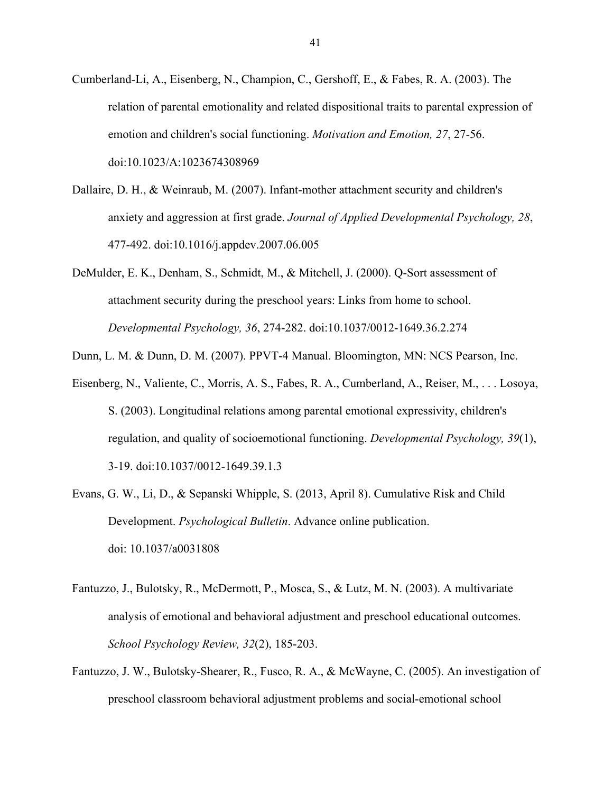- Cumberland-Li, A., Eisenberg, N., Champion, C., Gershoff, E., & Fabes, R. A. (2003). The relation of parental emotionality and related dispositional traits to parental expression of emotion and children's social functioning. *Motivation and Emotion, 27*, 27-56. doi:10.1023/A:1023674308969
- Dallaire, D. H., & Weinraub, M. (2007). Infant-mother attachment security and children's anxiety and aggression at first grade. *Journal of Applied Developmental Psychology, 28*, 477-492. doi:10.1016/j.appdev.2007.06.005
- DeMulder, E. K., Denham, S., Schmidt, M., & Mitchell, J. (2000). Q-Sort assessment of attachment security during the preschool years: Links from home to school. *Developmental Psychology, 36*, 274-282. doi:10.1037/0012-1649.36.2.274
- Dunn, L. M. & Dunn, D. M. (2007). PPVT-4 Manual. Bloomington, MN: NCS Pearson, Inc.
- Eisenberg, N., Valiente, C., Morris, A. S., Fabes, R. A., Cumberland, A., Reiser, M., . . . Losoya, S. (2003). Longitudinal relations among parental emotional expressivity, children's regulation, and quality of socioemotional functioning. *Developmental Psychology, 39*(1), 3-19. doi:10.1037/0012-1649.39.1.3
- Evans, G. W., Li, D., & Sepanski Whipple, S. (2013, April 8). Cumulative Risk and Child Development. *Psychological Bulletin*. Advance online publication. doi: 10.1037/a0031808
- Fantuzzo, J., Bulotsky, R., McDermott, P., Mosca, S., & Lutz, M. N. (2003). A multivariate analysis of emotional and behavioral adjustment and preschool educational outcomes. *School Psychology Review, 32*(2), 185-203.
- Fantuzzo, J. W., Bulotsky-Shearer, R., Fusco, R. A., & McWayne, C. (2005). An investigation of preschool classroom behavioral adjustment problems and social-emotional school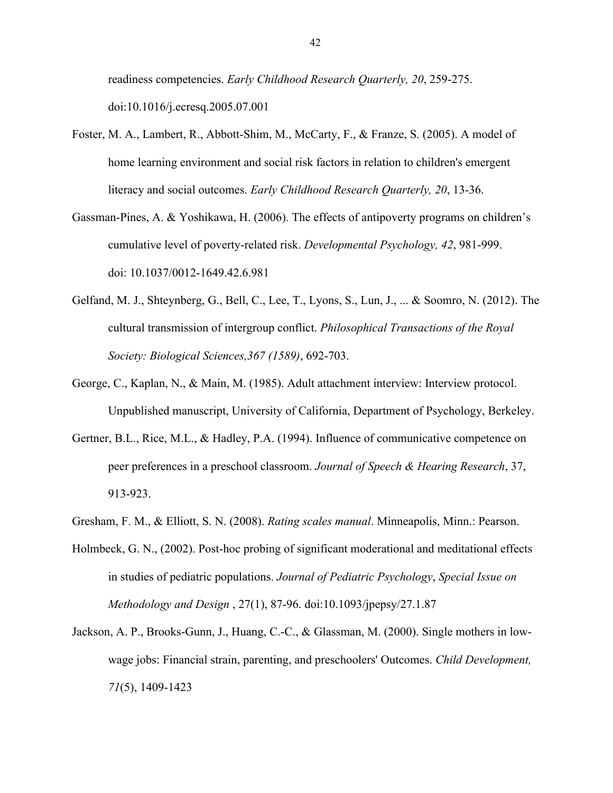readiness competencies. *Early Childhood Research Quarterly, 20*, 259-275. doi:10.1016/j.ecresq.2005.07.001

- Foster, M. A., Lambert, R., Abbott-Shim, M., McCarty, F., & Franze, S. (2005). A model of home learning environment and social risk factors in relation to children's emergent literacy and social outcomes. *Early Childhood Research Quarterly, 20*, 13-36.
- Gassman-Pines, A. & Yoshikawa, H. (2006). The effects of antipoverty programs on children's cumulative level of poverty-related risk. *Developmental Psychology, 42*, 981-999. doi: 10.1037/0012-1649.42.6.981
- Gelfand, M. J., Shteynberg, G., Bell, C., Lee, T., Lyons, S., Lun, J., ... & Soomro, N. (2012). The cultural transmission of intergroup conflict. *Philosophical Transactions of the Royal Society: Biological Sciences,367 (1589)*, 692-703.
- George, C., Kaplan, N., & Main, M. (1985). Adult attachment interview: Interview protocol. Unpublished manuscript, University of California, Department of Psychology, Berkeley.
- Gertner, B.L., Rice, M.L., & Hadley, P.A. (1994). Influence of communicative competence on peer preferences in a preschool classroom. *Journal of Speech & Hearing Research*, 37, 913-923.
- Gresham, F. M., & Elliott, S. N. (2008). *Rating scales manual*. Minneapolis, Minn.: Pearson.
- Holmbeck, G. N., (2002). Post-hoc probing of significant moderational and meditational effects in studies of pediatric populations. *Journal of Pediatric Psychology*, *Special Issue on Methodology and Design* , 27(1), 87-96. doi:10.1093/jpepsy/27.1.87
- Jackson, A. P., Brooks-Gunn, J., Huang, C.-C., & Glassman, M. (2000). Single mothers in lowwage jobs: Financial strain, parenting, and preschoolers' Outcomes. *Child Development, 71*(5), 1409-1423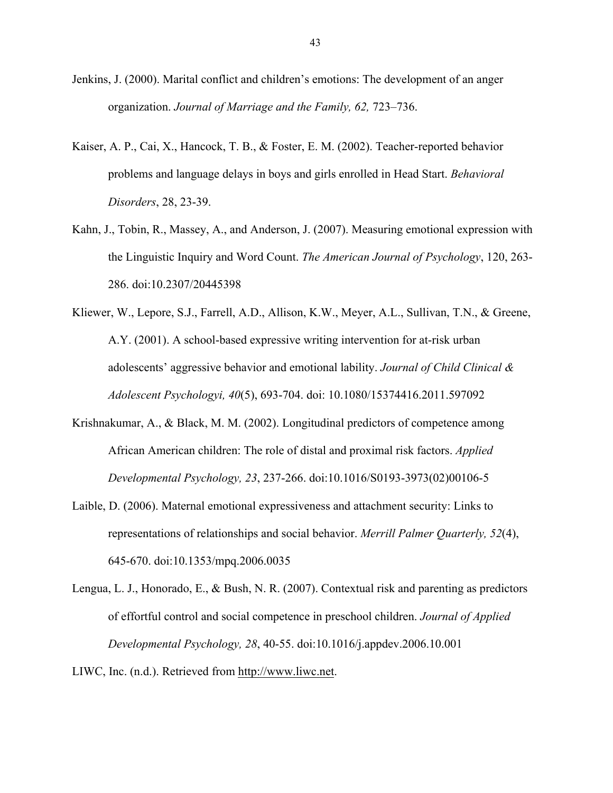- Jenkins, J. (2000). Marital conflict and children's emotions: The development of an anger organization. *Journal of Marriage and the Family, 62,* 723–736.
- Kaiser, A. P., Cai, X., Hancock, T. B., & Foster, E. M. (2002). Teacher-reported behavior problems and language delays in boys and girls enrolled in Head Start. *Behavioral Disorders*, 28, 23-39.
- Kahn, J., Tobin, R., Massey, A., and Anderson, J. (2007). Measuring emotional expression with the Linguistic Inquiry and Word Count. *The American Journal of Psychology*, 120, 263- 286. doi:10.2307/20445398
- Kliewer, W., Lepore, S.J., Farrell, A.D., Allison, K.W., Meyer, A.L., Sullivan, T.N., & Greene, A.Y. (2001). A school-based expressive writing intervention for at-risk urban adolescents' aggressive behavior and emotional lability. *Journal of Child Clinical & Adolescent Psychologyi, 40*(5), 693-704. doi: 10.1080/15374416.2011.597092
- Krishnakumar, A., & Black, M. M. (2002). Longitudinal predictors of competence among African American children: The role of distal and proximal risk factors. *Applied Developmental Psychology, 23*, 237-266. doi:10.1016/S0193-3973(02)00106-5
- Laible, D. (2006). Maternal emotional expressiveness and attachment security: Links to representations of relationships and social behavior. *Merrill Palmer Quarterly, 52*(4), 645-670. doi:10.1353/mpq.2006.0035
- Lengua, L. J., Honorado, E., & Bush, N. R. (2007). Contextual risk and parenting as predictors of effortful control and social competence in preschool children. *Journal of Applied Developmental Psychology, 28*, 40-55. doi:10.1016/j.appdev.2006.10.001

LIWC, Inc. (n.d.). Retrieved from http://www.liwc.net.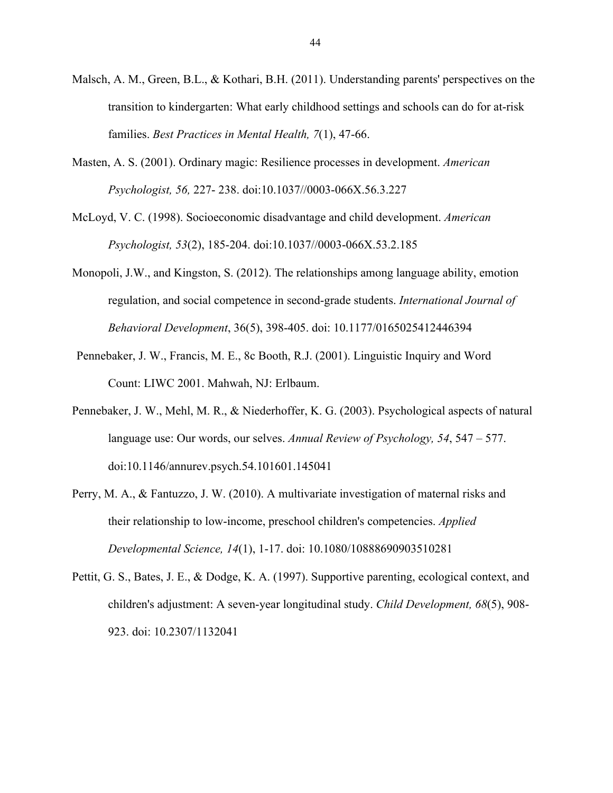- Malsch, A. M., Green, B.L., & Kothari, B.H. (2011). Understanding parents' perspectives on the transition to kindergarten: What early childhood settings and schools can do for at-risk families. *Best Practices in Mental Health, 7*(1), 47-66.
- Masten, A. S. (2001). Ordinary magic: Resilience processes in development. *American Psychologist, 56,* 227- 238. doi:10.1037//0003-066X.56.3.227
- McLoyd, V. C. (1998). Socioeconomic disadvantage and child development. *American Psychologist, 53*(2), 185-204. doi:10.1037//0003-066X.53.2.185
- Monopoli, J.W., and Kingston, S. (2012). The relationships among language ability, emotion regulation, and social competence in second-grade students. *International Journal of Behavioral Development*, 36(5), 398-405. doi: 10.1177/0165025412446394
- Pennebaker, J. W., Francis, M. E., 8c Booth, R.J. (2001). Linguistic Inquiry and Word Count: LIWC 2001. Mahwah, NJ: Erlbaum.
- Pennebaker, J. W., Mehl, M. R., & Niederhoffer, K. G. (2003). Psychological aspects of natural language use: Our words, our selves. *Annual Review of Psychology, 54*, 547 – 577. doi:10.1146/annurev.psych.54.101601.145041
- Perry, M. A., & Fantuzzo, J. W. (2010). A multivariate investigation of maternal risks and their relationship to low-income, preschool children's competencies. *Applied Developmental Science, 14*(1), 1-17. doi: 10.1080/10888690903510281
- Pettit, G. S., Bates, J. E., & Dodge, K. A. (1997). Supportive parenting, ecological context, and children's adjustment: A seven-year longitudinal study. *Child Development, 68*(5), 908- 923. doi: 10.2307/1132041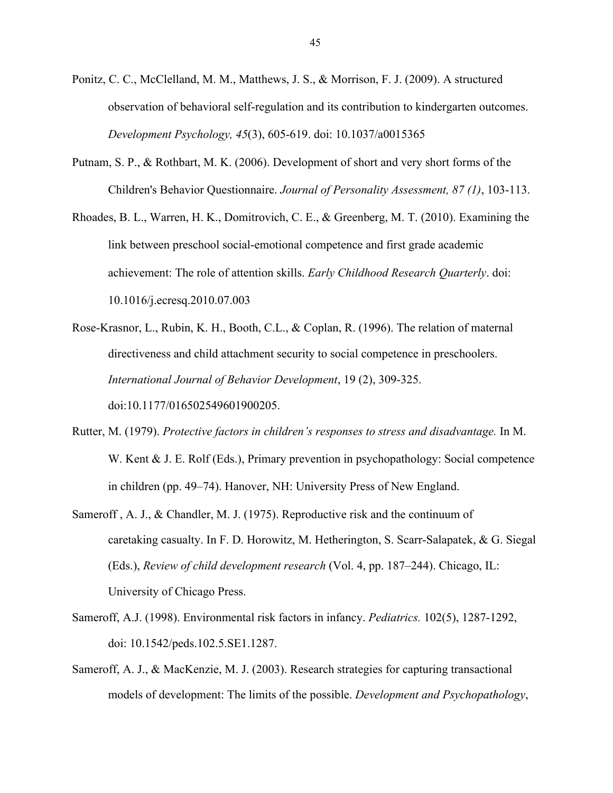- Ponitz, C. C., McClelland, M. M., Matthews, J. S., & Morrison, F. J. (2009). A structured observation of behavioral self-regulation and its contribution to kindergarten outcomes. *Development Psychology, 45*(3), 605-619. doi: 10.1037/a0015365
- Putnam, S. P., & Rothbart, M. K. (2006). Development of short and very short forms of the Children's Behavior Questionnaire. *Journal of Personality Assessment, 87 (1)*, 103-113.
- Rhoades, B. L., Warren, H. K., Domitrovich, C. E., & Greenberg, M. T. (2010). Examining the link between preschool social-emotional competence and first grade academic achievement: The role of attention skills. *Early Childhood Research Quarterly*. doi: 10.1016/j.ecresq.2010.07.003
- Rose-Krasnor, L., Rubin, K. H., Booth, C.L., & Coplan, R. (1996). The relation of maternal directiveness and child attachment security to social competence in preschoolers. *International Journal of Behavior Development*, 19 (2), 309-325. doi:10.1177/016502549601900205.
- Rutter, M. (1979). *Protective factors in children's responses to stress and disadvantage.* In M. W. Kent & J. E. Rolf (Eds.), Primary prevention in psychopathology: Social competence in children (pp. 49–74). Hanover, NH: University Press of New England.
- Sameroff , A. J., & Chandler, M. J. (1975). Reproductive risk and the continuum of caretaking casualty. In F. D. Horowitz, M. Hetherington, S. Scarr-Salapatek, & G. Siegal (Eds.), *Review of child development research* (Vol. 4, pp. 187–244). Chicago, IL: University of Chicago Press.
- Sameroff, A.J. (1998). Environmental risk factors in infancy. *Pediatrics.* 102(5), 1287-1292, doi: 10.1542/peds.102.5.SE1.1287.
- Sameroff, A. J., & MacKenzie, M. J. (2003). Research strategies for capturing transactional models of development: The limits of the possible. *Development and Psychopathology*,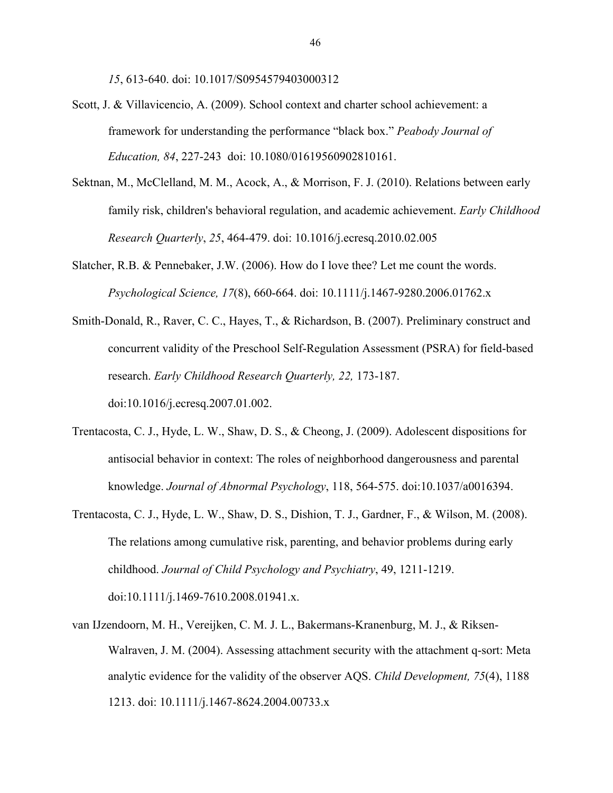*15*, 613-640. doi: 10.1017/S0954579403000312

- Scott, J. & Villavicencio, A. (2009). School context and charter school achievement: a framework for understanding the performance "black box." *Peabody Journal of Education, 84*, 227-243 doi: 10.1080/01619560902810161.
- Sektnan, M., McClelland, M. M., Acock, A., & Morrison, F. J. (2010). Relations between early family risk, children's behavioral regulation, and academic achievement. *Early Childhood Research Quarterly*, *25*, 464-479. doi: 10.1016/j.ecresq.2010.02.005
- Slatcher, R.B. & Pennebaker, J.W. (2006). How do I love thee? Let me count the words. *Psychological Science, 17*(8), 660-664. doi: 10.1111/j.1467-9280.2006.01762.x
- Smith-Donald, R., Raver, C. C., Hayes, T., & Richardson, B. (2007). Preliminary construct and concurrent validity of the Preschool Self-Regulation Assessment (PSRA) for field-based research. *Early Childhood Research Quarterly, 22,* 173-187. doi:10.1016/j.ecresq.2007.01.002.
- Trentacosta, C. J., Hyde, L. W., Shaw, D. S., & Cheong, J. (2009). Adolescent dispositions for antisocial behavior in context: The roles of neighborhood dangerousness and parental knowledge. *Journal of Abnormal Psychology*, 118, 564-575. doi:10.1037/a0016394.
- Trentacosta, C. J., Hyde, L. W., Shaw, D. S., Dishion, T. J., Gardner, F., & Wilson, M. (2008). The relations among cumulative risk, parenting, and behavior problems during early childhood. *Journal of Child Psychology and Psychiatry*, 49, 1211-1219. doi:10.1111/j.1469-7610.2008.01941.x.
- van IJzendoorn, M. H., Vereijken, C. M. J. L., Bakermans-Kranenburg, M. J., & Riksen-Walraven, J. M. (2004). Assessing attachment security with the attachment q-sort: Meta analytic evidence for the validity of the observer AQS. *Child Development, 75*(4), 1188 1213. doi: 10.1111/j.1467-8624.2004.00733.x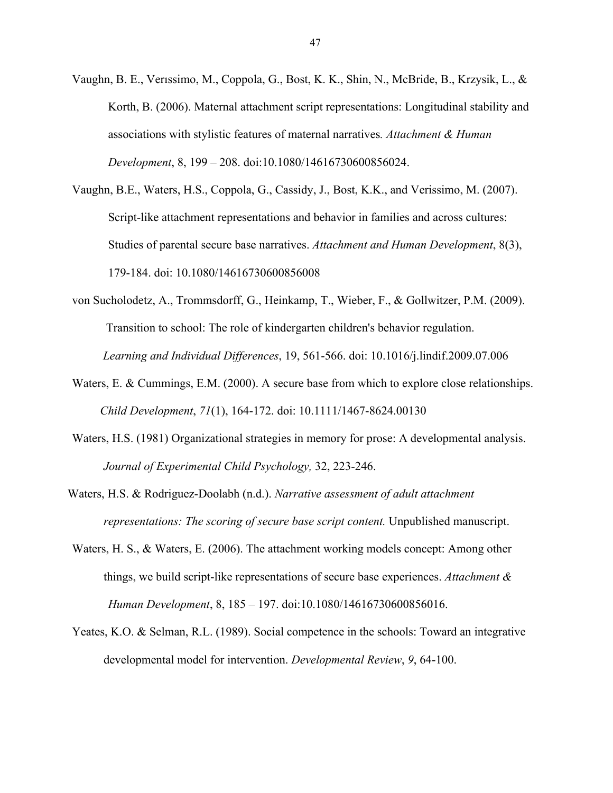- Vaughn, B. E., Verıssimo, M., Coppola, G., Bost, K. K., Shin, N., McBride, B., Krzysik, L., & Korth, B. (2006). Maternal attachment script representations: Longitudinal stability and associations with stylistic features of maternal narratives*. Attachment & Human Development*, 8, 199 – 208. doi:10.1080/14616730600856024.
- Vaughn, B.E., Waters, H.S., Coppola, G., Cassidy, J., Bost, K.K., and Verissimo, M. (2007). Script-like attachment representations and behavior in families and across cultures: Studies of parental secure base narratives. *Attachment and Human Development*, 8(3), 179-184. doi: 10.1080/14616730600856008
- von Sucholodetz, A., Trommsdorff, G., Heinkamp, T., Wieber, F., & Gollwitzer, P.M. (2009). Transition to school: The role of kindergarten children's behavior regulation. *Learning and Individual Differences*, 19, 561-566. doi: 10.1016/j.lindif.2009.07.006
- Waters, E. & Cummings, E.M. (2000). A secure base from which to explore close relationships. *Child Development*, *71*(1), 164-172. doi: 10.1111/1467-8624.00130
- Waters, H.S. (1981) Organizational strategies in memory for prose: A developmental analysis. *Journal of Experimental Child Psychology,* 32, 223-246.
- Waters, H.S. & Rodriguez-Doolabh (n.d.). *Narrative assessment of adult attachment representations: The scoring of secure base script content.* Unpublished manuscript.
- Waters, H. S., & Waters, E. (2006). The attachment working models concept: Among other things, we build script-like representations of secure base experiences. *Attachment & Human Development*, 8, 185 – 197. doi:10.1080/14616730600856016.
- Yeates, K.O. & Selman, R.L. (1989). Social competence in the schools: Toward an integrative developmental model for intervention. *Developmental Review*, *9*, 64-100.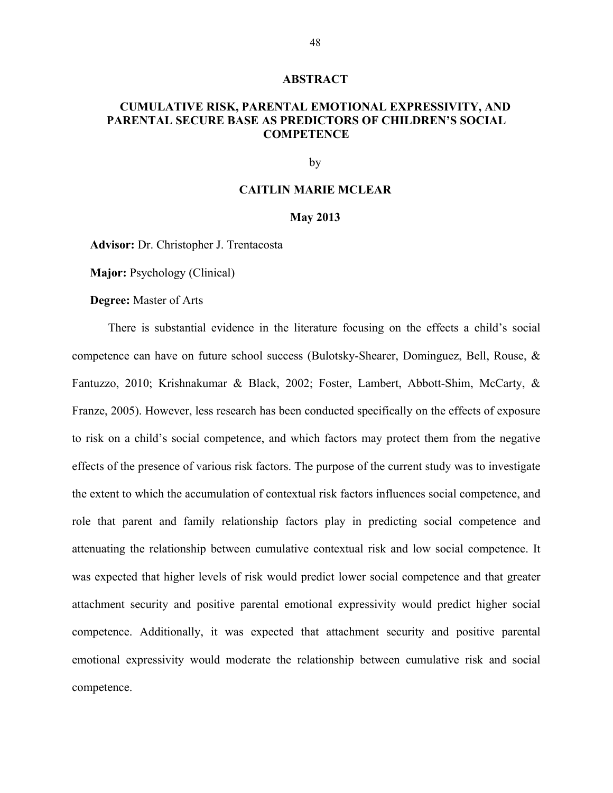#### **ABSTRACT**

#### **CUMULATIVE RISK, PARENTAL EMOTIONAL EXPRESSIVITY, AND PARENTAL SECURE BASE AS PREDICTORS OF CHILDREN'S SOCIAL COMPETENCE**

by

#### **CAITLIN MARIE MCLEAR**

#### **May 2013**

**Advisor:** Dr. Christopher J. Trentacosta

**Major:** Psychology (Clinical)

**Degree:** Master of Arts

There is substantial evidence in the literature focusing on the effects a child's social competence can have on future school success (Bulotsky-Shearer, Dominguez, Bell, Rouse, & Fantuzzo, 2010; Krishnakumar & Black, 2002; Foster, Lambert, Abbott-Shim, McCarty, & Franze, 2005). However, less research has been conducted specifically on the effects of exposure to risk on a child's social competence, and which factors may protect them from the negative effects of the presence of various risk factors. The purpose of the current study was to investigate the extent to which the accumulation of contextual risk factors influences social competence, and role that parent and family relationship factors play in predicting social competence and attenuating the relationship between cumulative contextual risk and low social competence. It was expected that higher levels of risk would predict lower social competence and that greater attachment security and positive parental emotional expressivity would predict higher social competence. Additionally, it was expected that attachment security and positive parental emotional expressivity would moderate the relationship between cumulative risk and social competence.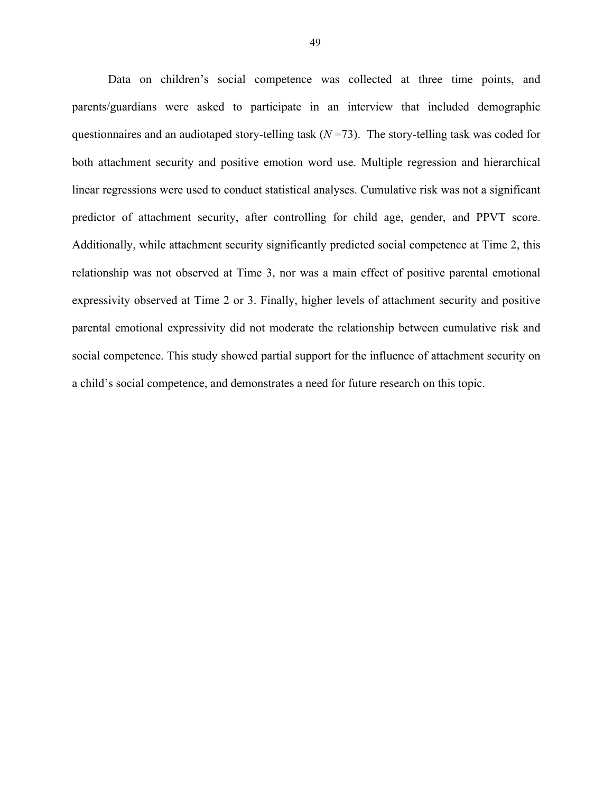Data on children's social competence was collected at three time points, and parents/guardians were asked to participate in an interview that included demographic questionnaires and an audiotaped story-telling task (*N* =73). The story-telling task was coded for both attachment security and positive emotion word use. Multiple regression and hierarchical linear regressions were used to conduct statistical analyses. Cumulative risk was not a significant predictor of attachment security, after controlling for child age, gender, and PPVT score. Additionally, while attachment security significantly predicted social competence at Time 2, this relationship was not observed at Time 3, nor was a main effect of positive parental emotional expressivity observed at Time 2 or 3. Finally, higher levels of attachment security and positive parental emotional expressivity did not moderate the relationship between cumulative risk and social competence. This study showed partial support for the influence of attachment security on a child's social competence, and demonstrates a need for future research on this topic.